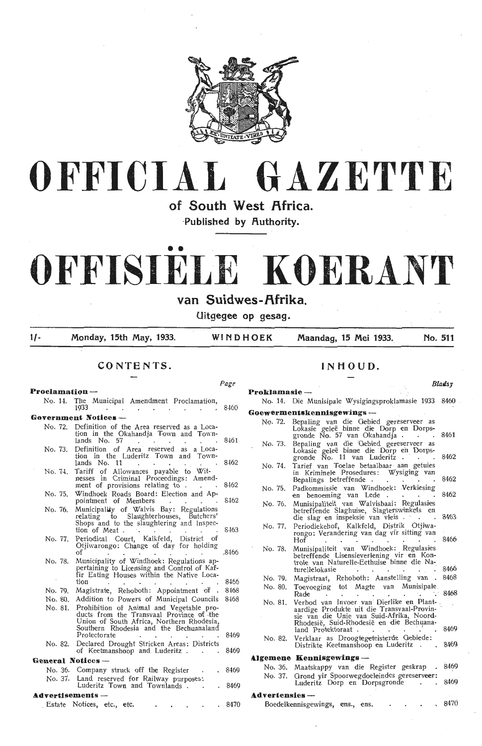



of South West Africa.

**·Published by Authority.** 

# . . ' ' **OFFISIELE KOERANT**

van Suidwes-Afrika.

**Uitgegee op gesag.** 

**Proklamasie** -

*Page* 

**1/- Monday, 15th May, 1933. WINDHOEK Maandag, 15 Mei 1933. No. 511** 

**CONTENTS.** 

## **Proclamation** - No. **14.** The Municipal Amendment Proclamation, 1933 . . . . . . 8460 Government Notices-No. 72. Definition of the Area reserved as a Location in the Okahandja Town and Town-<br>lands No. 57 (1) 8461 No. 73. Definition of Area reserved as a Location in the Luderitz Town and Town-<br>
lands No. 11 8462 No. 74. Tariff of Allowances payable to Wit-<br>nesses in Criminal Proceedings: Amend-<br>ment of provisions relating to . . . 8462 No. 75. Windhoek Roads Board: Election and Ap-<br>pointment of Members 8462 No. 76. Municipality of Walvis Bay: Regulations<br>relating to Slaughterhouses, Butchers' Shops and to the slaughtering and Inspection of Meat . 8463 No. 77. Periodical . Court, Kalkfeld, District of Otjiwarongo: Change of day for holding of . . . . . . 8466 No. 78. Municipality of Windhoek: Regulations ap-<br>pertaining to Licensing and Control of Kaffir Eating Houses within the Native Loca-tioo M~ No. 79. Magistrate, Rehoboth: Appointment of . 8468 No. 80. Addition to Powers of Municipal Councils 8468 No. 81. Prohibition of Animal and Vegetable pro- ducts from the Transvaal Province of .the Union of South Africa, Northern Rhodesia, Southern Rhodesia and the Bechuanaland

Protectorate . . . . . 8469 No. 82. Declared Drought Stricken Areas: Districts of Keetmanshoop and Luderitz . . . 8469

#### **General Notices** -

No. 36. Company struck off the Register . . 8469 No. 37. Land reserved for Railway purposes:<br>Luderitz Town and Townlands . . . 8469

#### **.t.dvertisements** -

Estate Notices, etc., etc. . . . . 8470

## **INHOUD.**

#### **Blatsy**

# No. 14. Die Munisipale Wysigingsproklamasie 1933 8460 Goewermentskennisgewings -No. 72. Bepaling van die Oebied gereserveer as<br>Lokasie geleë binne die Dorp en Dorps-<br>gronde No. 57 van Okahandja . . . 8461 No. 73. Bepaling van die Gebied gereserveer as<br>Lokasie geleë binne die Dorp en Dorpsgronde Ño. 11 van Luderitz . . . 8462 No. 74. Tarief van Toelae betaalbaar aan getuies in Kriminele Prosedures: Wysiging van Bepalings betreffende . . . . . . 8462 No. 75. Padkommissie van Windhoek: Verkiesing en benoeming van Lede . 8462 No. 76. Munisipaliteit van Walvisbaai; Regulasies betreffende Slaghuise, Slagterswinkels en<br>die slag en inspeksie van vleis . . . . . 8463 No. 77. Periodiekehof, Kalkfeld, Distrik Otjiwarongo: Verandering van dag vir sitting van Hof 8466 No. 78. Munisipaliteit van Windhoek: Regulasies<br>betreffende Lisensieverlening vir en Kontrole van Naturelle-Eethuise binne die Na-<br>turellelokasie . No. 79. Magistraat, Rehoboth: Aanstelling van . 8468 No. 80. Toevoeging tot Magte van Munisipale .<br>Rade . . . . . . . . . . . . 8468<br>No. 81. Verbod van Invoer van Dierlike en Plant-No. 81. Verbod van Invoer van Dierlike en Plant- . aardige Produkte uit die Transvaal-Provinsie van die Unie van Suid-Afrika, Noord-Rhodesië, Suid-Rhodesië en die Bechuana-<br>land Protektoraat . . . . . . . . . 8469 No. 82. Verklaar as Droogtegeteisterde Gebiede: Distrikte Keetmanshoop en Luderitz . 8469

#### **Algemene Kennisgewings** -

|                | $\mathbf{H}$ . The state of $\mathbf{H}$ is the state $\mathbf{H}$                     |  |                                   |  |       |
|----------------|----------------------------------------------------------------------------------------|--|-----------------------------------|--|-------|
|                | No. 36. Maatskappy van die Register geskrap . 8469                                     |  |                                   |  |       |
|                | No. 37. Grond yir Spoorwegdoeleindes gereserveer:<br>Luderitz Dorp en Dorpsgronde 8469 |  |                                   |  |       |
| Advertensies — |                                                                                        |  |                                   |  |       |
|                | Boedelkennisgewings, ens., ens.                                                        |  | and the state of the state of the |  | .8470 |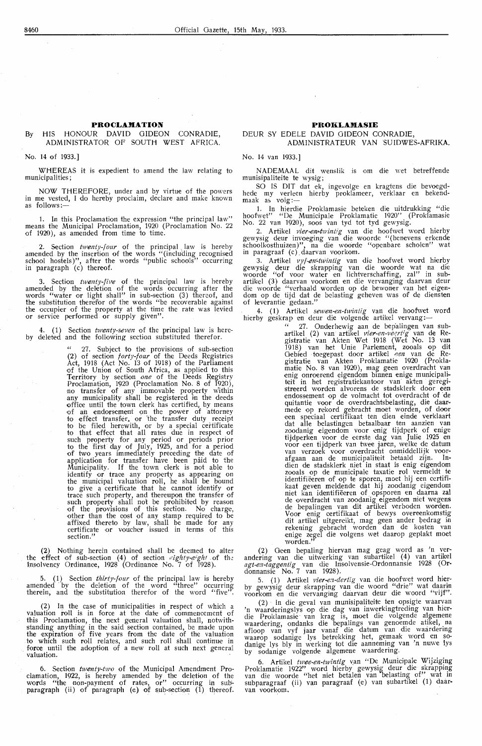#### By HIS HONOUR DAVID GIDEON CONRADIE, ADMINISTRATOR OF SOUTH WEST AFRICA.

#### No. 14 of 1933.]

WHEREAS it is expedient to amend the law relating to municipalities;

NOW THEREFORE, under and by virtue of the powers in me vested, I do hereby proclaim, declare and make known<br>as follows:—

1. In this Pmclamation the expression "the principal law" means the Municipal Proclamation, 1920 (Proclamation No. 22 of 1920), as amended from time to time.

2. Section *twenty-four* of the principal law is hereby amended by the insertion of the words "(including recognised school hostels)", after the words "public schools" occurring in paragraph (c) thereof.

3. Section *twenty-five* of the principal law is hereby amended by the deletion of the words occurring after the words "water or light shall" in sub-section (3) thereof, and the substitution therefor of the words "be recoverable against<br>the occupier of the property at the time the rate was levied<br>or service performed or supply given".

4. (1) Section *twenty-seven* of the principal law is hereby deieted and the following section substituted therefor.

> " 27. Subject to the provisions of sub-section **(2)** of section *forty-four* of the Deeds Registries Act, 1918 (Act No. 13 of 1918) of the Parliament of the Union of South Africa, as applied to this Territory by section *one* of the Deeds Registrv Proclamation, 1920 (Proclamation No. 8 of 1920),<br>no transfer of any immovable property within any municipality shall be registered in the deeds offioe until the town clerk has certified, by means of an endorsenwnt on the power of attorney to effect transfer, or the transfer duty receipt to be filed herewith, or by a special certificate to that effect that all rates due in respect of such property for any period or periods prior to the first day of July, 1925, and for a period of two years immediately preceding the date of application for transfer have been paid to the Municipality. If the town clerk is not able to identify or traoe any property as appearing on the municipal valuation roJ!l, he shall be bound to give a certificate that he cannot identify or trace such property, and thereupon the transfer of such property shall not be prohibited by reason of the provisions of this section. No charge, other than the cost of any stamp required to be affixed thereto by law, shall be made for any<br>certificate or voucher issued in terms of this section."

(2) Nothing herein contained shall be deemed to alter the effect of sub-section (4) of section *eighty-eight* of the Insolvency Ordinance, 1928 (Ordinance No. 7 of 1928).

5. (1) Section *thirty-four* of the principal law is hereby amended by the deletion of the word "three" occurring therein, and the substitution therefor of the word "five".

(2) In the case of municipalities in respect of which a valuation roll is in force at the date of commencement of this Proclamation, the next general valuation shall, notwithstanding anything in the said section contained, be made upon the expiration of five years from the date of the valuation to which such roll relates, and such roll shall continue in force until the adoption of a new roll at such next general valuation.

6. Section *twenty-two* of the Municipal Amendment Proclamation, 1922, is hereby amended by the deletion of the words "the non-payment of rates, or" occurring in subparagraph (ii) of paragraph (e) of sub-section  $(1)$  thereof.

#### **PROii:LAMASIE**

#### DEUR SY EDELE DAVID GIDEON CONRADIE, ADMINISTRATEUR VAN SUIDWES-AFRIKA.

No. 14 van 1933.]

NADEMAAL dit wenslik is om die wet betreffende munisipaliteite te wysig;

SO IS DIT dat ek, ingevolge en kragtens die bevoegdhede my verleen hierby proklameer, verklaar en bekend-<br>maak as volg:—

1. In hierdie Proklamasie beteken die uitdrukking "die hoofwet" "De Municipale Proklamatie 1920" (Proklamasie No. 22 van 1920), soos van tyd tot tyd gewysig.

2. Artikel *vier-en-twintig* van die hoofwet word hierby gewysig deur invoeging van die woorde "(benevens erkende schoolkosthuizen )", na die woorde "openbare scholen" wat in paragraaf (c) daarvan voorkom.

3. Artikel *vyf-en~twintig* van die hoofwet word hierby gewysig deur die skrapping van die woorde wat na die woorde "of voor water en lichtverschaffing, zal" in subartikel (3) daarvan voorkom en die vervanging daarvan deur die woorde "verhaald warden op de bewoner van het eigendom op de tijd dat de belasting geheven was of de diensten of leverantie gedaan."

4. (1) Artikel *sewen-en-twintig* van die hoofwet word hierby geskrap en deur die volgende artikel vervang:-

" 27. Onderhewig aan de bep'alingen van subartikel (2) van artikel *vier-en-veertig* van de Registratie van Akten Wet 1918 (Wet No. 13 van 1918) van het Unie Parlement, zooals op dit Gebied toegepast door artikel een van de Registratie van Akten Proklamatie 1920 (Proklamatie No. 8 van 1920), mag geen overdracht van enig onroerend eigendom binnen enige municipaliteit in het registratiekantoor van akten geregistreerd worden alvorens de stadsklerk door een endossement op de volmacht tot overdracht of de quitantie voor de overdrachtsbelasting, die daarmede op rekord gebracht moet warden, of door ,een speciaal certifikaat ten dien einde verklaart dat alle belastingen betaalbaar ten aanzien van<br>zoodanig eigendom voor enig tijdperk of enige tijdperken voor de eerste dag van Julie 1925 en<br>voor een tijdperk van twee jaren, welke de datum<br>van verzoek voor overdracht onmiddellijk voor-<br>afgaan aan de municipaliteit betaald zijn. Indien de stadsklerk niet in staat is enig eigendom zooals op de municipale taxatie rol vermeldt te identifieeren of op te sporen, moet hij een cerlifikaat geven meldende dat hij zoodanig eigendom niet kan identifieeren of\_ opsporen en daarna zal de overdracht van zoodanig eigendom niet wegens de bepalingen van dit artikel verboden worden. Voor enig certifikaat of bewys overeenkomstig dit artikel uitgereikt, mag geen ander bedrag in rekening gebracht worden dan de kosten van<br>enige zegel die volgens wet daarop geplakt moet worden."

(2) Oeen bepaling hiervan mag geag word as 'n ver- andering van die uitwerking van subartikel ( 4) van artilrel *agtae:z-taggentig* van die lnsolvensie-Ordonnansie 1928 (Ordonnansie No. 7 van 1928).

5. (1) Artikel *vier-en-dertig* van die hoofwet word hier-<br>by gewysig deur skrapping van die woord "drie" wat daarin voorkom en die vervanging daarvan deur die woord "vijf".

(2) In die geval van munisipaliteite ten opsigte waarvan 'n waarderingslys op die dag van inwerkingtreding van hi,erdie Proklamasie van krag is, moet die volgende algemene waardering, ondanks die bepalings van genoemde atikel, na<br>afloop van vyf jaar vanaf die datum van die waardering waarop sodanige lys betrekking het, gemaak word en so- danige lys bly in werking tot die aanneming van 'n nuwe lys by sodanige volgende algemene waardering.

6. Artikel *twee,en-twlntig* yan "De Municipale Wijziging Proklamatie 1922" word hierby gewysig deur die skrapping van die woorde "het niet betalen van ·belasting of" wat in subparagraaf (ii) van paragraaf (e) van subartikel (1) daarvan voorkom.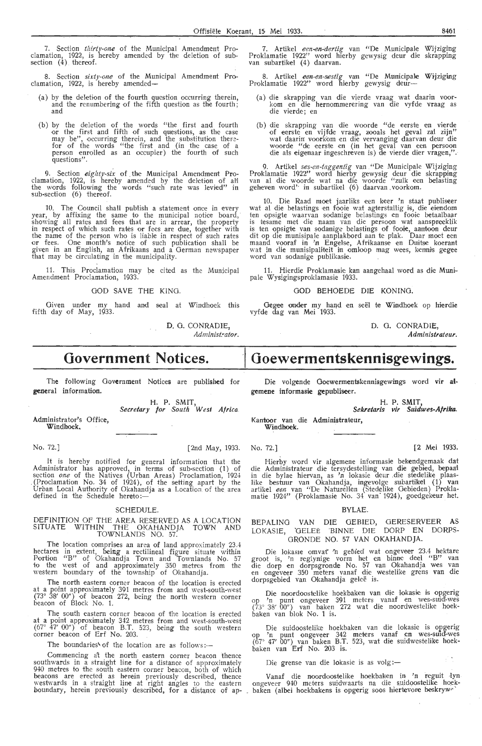7. Section *thirty-one* of the Municipal Amendment Proclamation, 1922, is hereby amended by the deletion of subsection  $(4)$  thereof.

8. Section sixty-one of the Municipal Amendment Proclamation, 1922, is hereby amended-

- (a) by the deletion of the fourth question occurring therein, and the renumbering of the fifth question as the fourth; and
- (b) by the deletion of the words "the first and fourth or the first and fifth of such questions, as the case may be", occurring therein, and the substitution therefor of the words "the first and (in the case of a person en questions".

9. Section eighty-six of the Municipal Amendment Proclamation, 1922, is hereby amended by the deletion of a1'1 the words following the words "such rate was levied" in sub-section (6) thereof.

10. The Council shall publish a statement once in every year, by affixing the same to the municipal notice board,<br>showing all rates and fees that are in arrear, the property in respect of which such rates or fees are due, together with the name of the person who is liab1e in respect of such rates or fees. One month's notice of such publication shall be given in an English, an Afrikaans and a German newspaper that may be circulating in the municipality.

11. This Proclamation may be cited as the Municipal Amendment Proclamation, 1933.

GOD SAVE THE KING.

Given under my hand and seal at Windhoek this fifth day of May, 1933.

D. 0. CONRADIE, Administrator.

# **Government Notices.**

 $\sim$   $\sim$ 

The following Government Notices are published for general information.

> H. P. SMIT, *Secretary for South West Africa.*

Administrator's Office, Windhoek,

No. 72.] [2nd May, 1933. No. 72.] [2 Mei 1933.

It is hereby notified for general information that the Administrator has approved, in terms of sub-section (1) of section *one* of the Natives (Urban Areas) Proclamation, 1924 . (Proclamation No. 34 of 1924 ), of the setting apart by the Urban Local Authority of Okahandja as a Location of the area defined in the Schedule hereto:—

#### SCHEDULE.

#### DEFINITION OF THE AREA RESERVED AS A LOCATION SITUATE WITHIN THE OKAHANDJA TOWN AND TOWNLANDS NO. 57.

The location comprises an area of land approximately 23.4 hectares in extent, being a rectilineal figure situate within Portion "B" of Okahandja Town and Townlands No. 57 to the west of and approximately 350 metres from the western boundary of the township of Okahandja.

The north eastern corner beacon of the location is erected at a point approximately 391 metres from and west-south-west  $(73° 38' 00'')$  of beacon 272, being the north western corner beacon of Block No. 1.

The south eastern corner beacon of the location is erected at a point approximately 342 metres from and west-south-west  $(67° \t{47}' 00'')$  of beacon B.T. 523, being the south western corner beacon of Erf No. 203.

The boundaries' of the location are as follows: $-$ 

Commencing at the north eastern corner beacon thence southwards in a straight line for a distance of approximately 940 metres to the south eastern corner beacon, both of which beacons are erected as herein previously described, thence westwards in a straight line at right angles to the eastern boundary, herein previously described, for a distance of ap-

7. Artikel een-en-dertig van "De Municipale Wijziging Proklamatie 1922'' word hierby gewysig deur die skrapping<br>van subartikel (4) daarvan.

8. Artikel *een-en-sestig* van "De Municipale Wijziging<br>Proklamatie 1922'' word hierby gewysig deur-

- (a) die skrapping van die vierde vraag wat daarin voor- kom en die hernommerering van die vyfde vraag as die vierde; en
- (b) die skrapping van die woorde "de eerste en vierde of eerste en vijfde vraag, zooals het geval zal zijn" wat daarin voorkom en die vervanging daarvan deur die woorde "de ,eerste en (in het geval van een persoon die als eigenaar ingeschreven is) de vierde dier vragen,".

9. Artikel *ses-en-taggentig* van "De Municipale Wijziging Proklamatie 1922" word hierby gewysig deur die skrapping<br>van al die woorde wat na die woorde "zulk een belasting geheven word' ' in subartikel (6) daarvan . voorkom.

10. Die Raad moet jaarliks een keer 'n staat publiseer wat al die belastings en fooie wat agterstallig is, die eiendom ten opsigte waarvan sodanige belastings en fooie betaalbaar is tesame met die naam van die persoon wat aanspreeklik is ten opsigte van sodanige belastings of fooie, aantoon deur dit op die munisipale aanplakbord aan te plak. Daar moet een maand vooraf in 'n Engelse, Afrikaanse en Duitse koerant wat in die munisipaliteit in omloop mag wees, kennis gegee word van sodanige publikasie.

11. Hierdie Proklamasie kan aangehaal word as die Munipale Wysigingsproklamasie 1933.

#### GOD BEHOEDE DIE KONING.

Gegee onder my hand en seël te Windhoek op hierdie vyfde dag van Mei 1933.

> D. 0. CONRADIE, *Administrateur.*

# Goewermentskennisgewings.

Die volgende Ooewermentskennisgewings word **vir at. gcmene informasie gepubliseer.** 

**H. P. SMIT,** 

*Sekretaris vi,* **Suidwes,Afrika.** 

Kantoor van die Administrateur, **Windhoek.** 

Hierby word vir algemene informasie bekendgemaak dat die Administrateur die tersydesteHing van die gebied, bepaa'l in die bylae hiervan, as 'n lokasie deur die stedelike plaaslike bestuur van Okahandja, ingevolge subartikel (1) van artikel *een* van "De Naturdlen (Stedelike Gebi-eden) Proklamatie 1924'' (Proklamasie No. 34 van 1924), goedgekeur het.

#### BYLAE.

BEPALING VAN DIE OEBIED, GERESERVEER AS LOKASIE, "OELEE 'BINNE DIE DORP EN DORPS-GRONDE NO. 57 VAN OKAHANDJA.

Die lokasie omvat 'n gebied wat ongeveer 23.4 hektare groot is, 'n reglynige vorm het en binne deel "B" van die dorp en dorpsgronde No. 57 van Okahandja wes van<br>en ongeveer 350 meters vanaf die westelike grens van die dorpsgebied van Okahandja geleë is.

Die noordoostelike hoekbaken van die lokasie is opgerig op 'n punt ongeveer 391 meters vanaf en wes-suid-wes (73° 38' 00") van baken 272 wat die noordwestelike hoekbaken van blok No. 1 is.

Die suidoostelike hoekbaken van die lokasie is opgerig op 'n punt ongeveer 342 meters vanaf en wes-suid-wes  $(67° 47' 00'')$  van baken B.T. 523, wat die suidwestelike hoekbaken van Erf No. 203 is.

Die grense van die lokasie is as volg :-

Vanaf die noordoostelike hoekbaken in 'n reguit lyn ongeveer 940 meters suidwaarts na die suidoostelike hoekbaken (albei hoekbakens is opgerig soos hiertevore beskryw-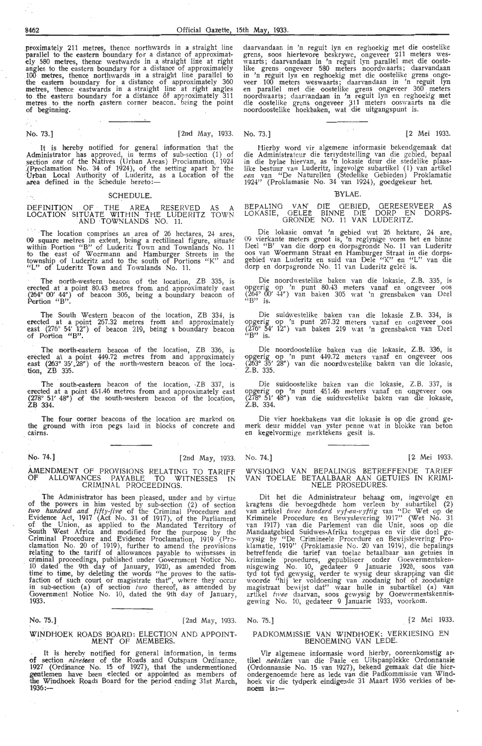proximately 211 metres, thence northwards in a straight line<br>parallel to the eastern boundary for a distance of approximately 580 metres, thence westwards in a. straight line at right angles to the eastern boundary for a distance of approximately 100 metres, thence northwards in a straight line parallel to the eastern boundary for a distance of approximately 360 metres, thence eastwards in a straight line at right angles to .the eastern boundary for a distance of approximately 311 metres to the north eastern corner beacon. being the point of beginning.

 $\sim$ 

No. 73.] [2nd May, 1933. No. 73.] [2 Mei 1933.

It is hereby notified for general information that the Administrator has approved, in terms of sub-section (1) of section *one* of the Natives (Urban Areas) Proclamation, 1924<br>(Proclamation No. 34 of 1924), of the setting apart by the Urban Local Authority of Luderitz, as a Lo

#### SCHEDULE.

DEFINITION OF THE AREA RESERVED AS A<br>LOCATION SITUATE WITHIN THE LUDERITZ TOWN<br>AND TOWNLANDS NO. 11.

The location comprises an area of 26 hectares, 24 ares, 09 square metres in extent, being a rectilineal figure, situate within Portion "B" of Luderitz Town and Townlands No. 11 to the east of Wocrmann and Hamburger Streets in the township of Luderitz and to the south of Portions "K" and "L" of Luderitz Town and Townlands No. 11.

The north-western beacon of the location, ZB 335, is erected at a point 80.43 metres from and approximately east  $(264^{\circ} 00' 44'')$  of beacon 305, being a boundary beacon of Portion "B".

The South Western beacon of the location, ZB 334, is erected at a point 267.32 metres from and approximately east (276° 54' 12") of beacon 219, being a boundary beacon of Portion "B".

The north-eastern beacon of the location, ZB 336, is erected at a point 449.72 metres from and apprqximately east (263° 35', 28") of the north-western beacon of the location, ZB 335.

The south-eastern beacon of the location, -ZB 337, is erected at a point 451.46 metres from and approximately east  $(278^{\circ} 51' 48'')$  of the south-western beacon of the location, ZB 334.

The four corner beacons of the location are marked on the ground with iron pegs laid in blocks of concrete and cairns.

No. 74.] [2nd May, 1933.

## AMENDMENT OF PROVISIONS RELATING TO TARIFF Of ALLOWANCES PAYABLE TO WITNESSES IN CRIMINAL PROCEEDINGS.

The Administrator has been pleased, under and by virtue of the powers in him vested by sub-section (2) of section two hundred and fifty-five of the Criminal Procedure and Evidence Act, 1917 (Act No. 31 of 1917), of the Parliament of the Union, as applied to the Mandated Territory of South West Africa and modified for the purpose by the Criminal Procedure and Evidence Proclamation, 1919 (Proclamation No. 20 of 1919), further to amend the provisions relating to the tariff of aHowances payable to witnesses in criminal proceedings, published under Government Notice No. 10 dated the 9th day of January, 1920, as amended from time to time, by deleting the words "he proves to the satisfaction of such court or magistrate that", where they occur in sub-section (a) of section  $\ell w \nu$  thereof, as amended by Government Notice No. 10, dated the 9th day of January, 1933.

No. 75.j [2nd May, 1933. No. 75.] [2 Mei 1933.

#### WINDHOEK ROADS BOARD: ELECTION AND APPOINT-MENT OF MEMBERS.

. It is hereby notified for general information, in terms of section nineteen of the Roads and Outspans Ordinance. 1927 (Ordimanoe No. 15 of 1927), that the undermentioned gentlemen have been elected or appointed as members of the Windhoek Roads Board for the period ending 31st March,<br>1936:-

daarvandaan in 'n reguit lyn en reghoekig met die oostelike grens, soos hiertevore beskrywe, ongeveer 211 meters wes-<br>waarts; daarvandaan in 'n reguit lyn parallel met die oostelike grens ongeveer 580 meters noordwaarts; daarvandaan in 'n reguit lyn en reghoekig met die oostelike grens onge- veer 100 meters weswaarts; daarvandaan in 'n reguit lyn en parallel met die oostelike grens ongeveer 360 meters noordwaarts; daarvandaan in 'n reguit lyn en reghoekig met die oostelike grens ongeveer 311 meters ooswaarts na die noordoostelike hoekbaken, wat die uitgangspunt is.

Hierby word vir algemene informasie bekendgemaak dat die Administrateur die tersydestelling van die gebied, bepaal in die bylae hiervan, as 'n lokasie deur die stedelike plaaslike bestuur van Luderitz, ingevolge subartikel (1) van artikel een van "De Naturellen (Stedelike Gebieden) Proklamatie 1924" (Proklamasie No. 34 van 1924 ), goedgekeur het.

#### "BYLAE.

BEPALlNG LOKASIE, VAN DIE GEBIED, GERESERVEER AS GELEË BINNE DIE DORP EN DORPS-GRONDE NO. 11 VAN LUDERITZ.

Die lokasie omvat 'n gebied wat 26 hektare, 24 are, 09 vierkante meters groot is, 'n reglynige vorm het en binne Deel "B' van die dorp en dorpsgronde No. 11 van Luderitz<br>oos van Woermann Straat en Hamburger Straat in die dorps-<br>gebied van Luderitz en suid van Dele "K" en "L" van die<br>dorp en dorpsgronde No. 11 van Luderitz geleë is.

Die noordwestelike baken van die lokasie, Z.B. 335, is opgerig op 'n punt 80.43 meters vanaf en ongeveer oos (264° 00' 44") van baken 305 wat 'n grensbaken van Deel ''B" is.

Die suidwestelike baken Yan die lokasie Z.B. 334, is opgerig op 'n punt 267.32 meters vanaf en ongeveer oos (276° 54' 12") van baken 219 wat 'n grensbaken van Deel  $\alpha$ B" is.

Die noordoostelike baken van die lokasie, Z.B. 336, is opgerig op 'n punt 449.72 meters vanaf en ongeveer oos (263° 35' 28") van die noordwestelike baken van die lokasie, Z.B. 335.

Die suidoostelike baken van die lokasie, Z.B. 337, is opgerig op 'n punt 451.46 meters vanaf en ongeveer oos (278° 51' 48″) van die suidwestelike baken van die lokasie, Z.B. 334.

Die vier hoekbakens van die lokasie is op die grond gemerk deur middel van yster penne wat in blokke van beton en kegelvormige merktekens gesit is.

WYSIGING VAN BEPALINGS BETREFFENDE TARIEF VAN TOELAE BETAALBAAR AAN GETUIES IN KRIMI-NELE PROSEDURES.

Dit het die Administrateur behaag om, ingevolge en kragtens die bevoegdhede hom ver!een by subartikel (2) van artikel twee honderd *vyf-en-vyftig* van "De Wet op de Kriminele Procedure en Bewyslevering 1917" (Wet No. 31 van die Parlement van die Unie, soos op die Mandaatgebied Suidwes-Afrika toegepas en vir die doel ge-<br>wysig by ."De Crimineele Procedure en Bewijslevering Proklamatie, 1919" (Proklamasie No. 20 van 1919), die bepalings betreffende die tarief van toelae betaalbaar aan getuies in kriminele prosedures, gepubliseer onder Goewermentsken-<br>nisgewing No. 10, gedateer 9 Januarie 1920, soos van<br>tyd tot tyd gewysig, verder te wysig deur skrapping van die woorde "hij ter voldoening van zoodanig hof of zoodanige magistraat bewijst dat" waar hulle in subartikel (a) van artikel twee daarvan, soos gewysig by Goewermentskennisgewing No. 10, gedateer 9 Januarie 1933, voorkom.

#### PADKOMMISSIE VAN WINDHOEK: VERKlESING EN BENOEMING VAN LEDE.

Vir algemene informasie word hierby, ooreenkomstig ar-<br>tikel neëntien van die Paaie en Uitspanplekke Ordonnansie (Ordonnansie No. 15 van 1927), bekend gemaak dat die hierondergenoemde here as lede van die Padkommissie van Windhoek vir die tydperk eindigende 31 Maart 1936 verkies of benoem is:-

No. 74.] [2 Mei 1933.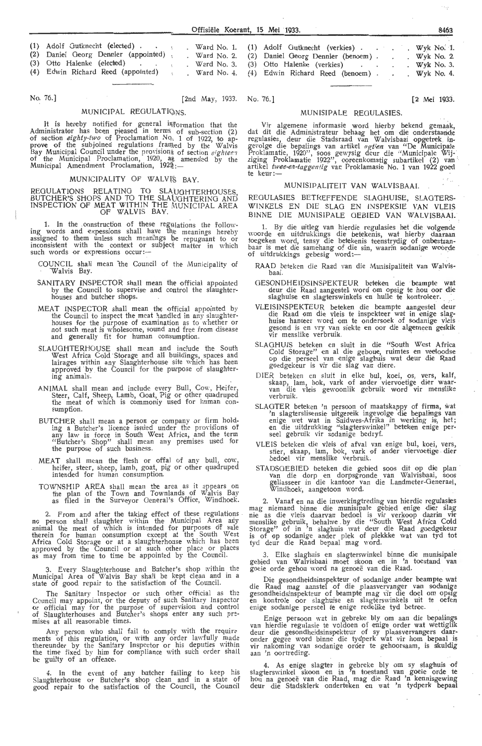| (1) Adolf Gutknecht (elected)<br>(2) Daniel Georg Dennler (appointed).<br>(3) Otto Halenke (elected) |  |  | Ward No. 1. (1) Adolf Gutknecht (verkies) Wyk No. 1.<br>. Ward No. 2. (2) Daniel Georg Dennler (benoem).<br>Ward No. 3. (3) Otto Halenke (verkies) |  | . Wyk No. $2$ .<br>$Wyk$ No. 3. |
|------------------------------------------------------------------------------------------------------|--|--|----------------------------------------------------------------------------------------------------------------------------------------------------|--|---------------------------------|
| (4) Edwin Richard Reed (appointed)                                                                   |  |  | . Ward No. 4. (4) Edwin Richard Reed (benoem).                                                                                                     |  | $W$ yk No. 4.                   |

#### No. 76.] [2nd May, 1933. No. 76.] [2 Mei 1933.

#### MUNICIPAL REGULATIONS.

It is hereby notified for general information that the Administrator has been pleased in terms of sub-section (2) of section *eighty-two* of Proclamation No. 1 of 1922, to approve of the subjoined regulations framed by the Walvis Bay Municipal Council under the provisions of section *eighteen* of the Municipal Proclamation, 1920, as amended by the<br>Municipal Amendment Proclamation, 1922<sub>:</sub> ...

#### MUNICIPALITY OF WALVIS BAY.

REGULATIONS RELATING TO SLAUGHTERHOUSES, BUTCHER'S SHOPS AND TO **THE** SLAUGHTERING AND INSPECTION OF MEAT WITHIN THE MUNICIPAL AREA OF WALVIS BAY.

1. In the construction of these regulations the following words and expessions shall have the meanings hereby assigned to them unless such meanings !Je repugnant *to* or inconsistent with the context or subject matter in which<br>such words or expressions occur:—

- COUNCIL shall mean the Council of the Municipality of Walvis Bay.
- SANITARY INSPECTOR shall mean the official appointed by the Council *to* supervise and control the slaughterhouses and butcher shops.
- MEAT INSPECTOR shall mean the official appointed by the Council *to* inspect the meat handled in any slaughter- houses for the purpose of examination as to whether or not such meat is wholesome, sound and free from disease and generally fit for human consumption.
- SLAUGHTERHOUSE shall mean and include the South West Africa Cold Storage and all buildings, spaces and lairages within any Slaughterhouse site which has been approved · by the Council for the purpose of slaughtering animals.
- ANIMAL shall mean and include every Bull, Cow, Heifer, Steer, Calf, Sheep, Lamb, Goat, Pig or other quadruped the meat of which is commonly used for human consumption.
- BUTCHER shall mean a person or company or firm holding a Butcher's licence issued under the provisions of any law in force in South West Africa, and the term<br>"Butcher's Shop" shall mean any premises used for the purpose of such business.
- MEAT shall mean the flesh or offal of any bull,  $\text{row}_1$ heifer, steer, sheep, lamb, goat, pig or other quadruped intended for human consumption.
- TOWNSHIP AREA shall mean the area as it appears on the plan of the Town and Townlands of Walvis Bay as filed in the Surveyor General's Office, Windhoek.

2. From and after the taking effect of these regulations no person shall slaughter within the Municipal Area any animal the meat of which is intended for purposes of sale therein for human consumption except at the South West Africa Cold Storage or at a slaughterhouse which has been approved by the Council or at such other place or places as may from time to time be appointed by the Council.

3. Every Slaughterhouse and Butcher's shop within the Municipal Area of Walvis Bay shall be kept clean and in a state of good repair to the satisfaction of the Council.

The Sanitary Inspector or such other official as the Council may appoint, or the deputy of such Sanitary Inspector or official may for the purpose of supervision and control of Slaughterhouses and Butcher's shops enter any such premises at all reasonable times.

Any person who shall fail to comply with the require ments of this regulation, or with any order lawfully made thereunder by the Sanitary Inspector or his deputies within the time fixed by him for compliance with such order shall be guilty of an offence.

4. In the event of any butcher failing to keep his Slaughterhouse or Butcher's shop clean and in a state of good repair to the satisfaction of the Council, the Council

| Daniel Georg Dennier (benoem). |  | . Wyk No. $2$ . |  |
|--------------------------------|--|-----------------|--|
| Otto Halenke (verkies)         |  | . Wyk $No. 3$ . |  |
| Edwin Richard Reed (benoem).   |  | $W$ yk No. 4.   |  |
|                                |  |                 |  |

#### MUNISIPALE REGULASIES.

Vir algemene informasie word hierby bekend gemaak, dat dit die Administrateur behaag het om die onderstaande regulasies, deur die Stadsraad van Walvisbaai opgetrek in-<br>gevolge die bepalings van artikel *agtien* van "De Municipale Proklamatie, 1920", soos gewysig deur die "Municipale Wij- z1gmg Pmklamatie 1922'', ooreenkomstig subartifoel (2) van '· artikel *twee-en-taggentig* van Proklamasie No. 1 van 1922 goed te keur:-

#### MUNISIPALITEIT VAN WALVISBAAI.

REGULASIES BETREFFENDE SLAGHUISE, SLAGTERS-WINKELS EN DIE SLAG EN INSPEKSIE VAN VLEIS BINNE DIE MUNISIPALE GEBIED VAN WALVISBAAI.

1. By die uitleg van hierclie regulasies het die volgendc \\'Oorde en uitdrukkings die betekenis, wat hierby daaraan toegeken word, tensy die betekenis teenstrydig of onbestaanbaar is met die samehang of die sin, waarin sodanige woorde<br>of uitdrukkings gebesig word:—

RAAD beteken die Raad van die Munisipaliteit van Walvisbaai.

- GESONDHEIDSINSPEKTEUR beteken die beampte wat deur die Raad aangestel word om opsig te hou oor die slaghuise en slagterswinkels en hulle te kontroleer.
- VLEISINSPEKTEUR beteken die beampte aangestel deur die Raad om die vleis te inspekteer wat in enige slag-<br>huise hanteer word om te ondersoek of sodanige vleis gesond is en vry van siekte en oor die algemeen geskik vir menslike verbruik.
- SLAGHUJS beteken en sluit in die "South West Africa Cold Storage" en al die geboue, ruimtes en vedoodse op die perseel van ,enige slaghuis wat deur die Raad goedgekeur is vir die slag van diere.
- DIER beteken en sluit in elke bul, koei, os, vers, kalt,<br>skaap, lam, bok, vark of ander viervoetige dier waar-<br>van die vleis gewoonlik gebruik word vir menslike verbruik.
- SLAGTER beteken 'n persoon of maatskappy of firma, wat 'n slagterslisensie uitgereik ingevolge die bepalings van enige wet wat in Suidwes-Afrika in werking is, het; en die uitdrukking "slagterswinkel" beteken enige persee! gebruik vir sodanige bedryf.
- VLEIS beteken die vleis of afval van enige bul, koei, vers, stier, skaap, lam, bok, vark of ander viervoetige dier bedoel vir menslike verbruik.
- STADSGEBIED beteken die gebied soos dit op die plan van die dorp en dorpsgronde van Walvisbaai, soos<br>geliasseer in die kantoor van die Landmeter-Generaal, Windhoek, aangetoon word.

2. Vanaf en na die inwerkingtreding van hierdie regulasiles mag niemand binne die munisipale gebied enige dier slag nie as die vleis daarvan bedoel is vir verkoop daarm vir menslike gebruik, behalwe by die "South West Africa Cold Storage" of in 'n slaghuis wat deur die Raad goedgekeur is of op sodanige ander plek of plekkke wat van tyd tot tyd deur die Raad bepaal mag word.

3. Elke slaghuis en slagterswinkel binne die munisipale gebied van Walvisbaai moet skoon en in 'n toestand van goeie orde gehou word na genoee van die Raad.

Die gesondheidsinspekteur of sodanige ander beampte wat die Raad mag aanstel of die plaasvervanger van sodanige gesondheidsinspekteur of beampte mag vir die doel om opsig en kontrole oor slaghuise en slagterswinkels uit te oefen enige sodanige perseel te enige redelike tyd betree.

Enige persoon wat in gebreke bly om aan die bepalings van hierdie regulasie te voldoen of enige order wat wettiglik deur die gesondheidsinspekteur of sy plaasvervangers daar-<br>onder gegee word binne die tydperk wat vir hom bepaal is vir nakoming van sodanige order te gehoorsaam, is skuldig aan 'n oortreding.

4. As enige slagter in gebreke bly om sy slaghuis of slagterswinkel skoon en in 'n toestand van goeie orde te hou na genoeë van die Raad, mag die Raad 'n kennisgewing deur die Stadsklerk onderteken en wat 'n tydperk bepaal

 $\phi_{Q}$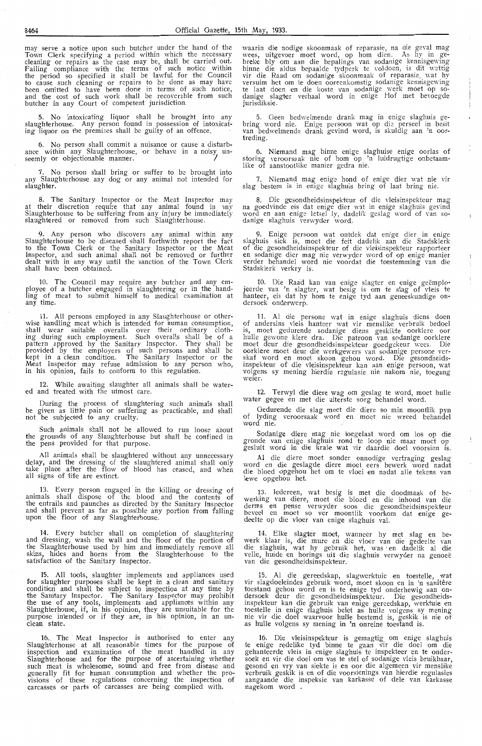may serve a notice upon such butcher under !he hand of the Town Clerk specifying a period within which the necessary<br>cleaning or repairs as the case may be, shall be carried out. Failing compliance with the terms of such notice within the period so specified it shall be 1awful for the Council to cause such cleaning or repairs to be done as may have been omitted to have been done in terms of such notice, and the cost of such work shall be recoverable from such butcher in any Court of competent jurisdiction.

5. No intoxicating liquor shaH be brought into any slaughterhouse. Any person found in possession of intoxicating liquor on the premises shall be guilty of an offence.

6. No person shall commit a nuisance or cause a disturbance within any Slaughterhouse, or behave in a noisy un-<br>seemly or objectionable manner.

7. No person shall bring or suffer to be brought into any Slaughterhouse any dog or any animal not intended for slaughter.

8. The Sanitary Inspector or the Meat Inspector may at their discretion require that any animal found in any Slaughterhouse to be suffering from any injury be immediately slaughtered or removed from such Slaughterhouse.

9. Any person who discovers any animal within any Slaughterhouse to be diseased shall forthwith report the fact to the Town Clerk or the Sanitary Inspector or the Meat Inspector, and such animal shall not be removed or further dealt with in any way until the sanction of the Town Clerk shall have been obtained.

10. The Council may require any butcher and any em-<br>ployee of a butcher engaged in slaughtering or 'in the handling of meat to submit himself to medical examination at any time.

All persons employed in any Slaughterhouse or otherwise handling meat which is intended for human consumption, shall wear suitable overalls over their ordinary clothing during such employment. Such overal'ls shall be of a pattern appr·oved by the Sanitary Inspector. They shall be provided by the employers of such persons and shall be kept in a clean condition. The Sanitary Inspector or the Meat Inspector may refuse admission to any person who, in his opinion, fails to conform to this regulation.

12. Whi1e awaiting slaughter all animals shall be watered and treated with the utmost care.

During the process of slaughtering such animals shall be given as little pain or suffering as practicable, and shall not be subjected to any cruelty.

Such animals shaH not be allowed to run loose about the grounds of any Slaughterhouse but shal'l be confined in the pens provided for that purpose.

All animals shall be slaughtered without any unnecessary delay, and the dressing of the slaughtered animal shall only take place after the flow of blood has ceased, and when all signs of life are extinct.

13. Every person engaged in the killing or dressing of animals shaH dispose of the blood and the contents of the entrails and paunches as directed by the Sanitary Inspector and shall prevent as far as possible any portion from falling upon the floor of any Slaughterhouse.

14. Every butcher shall on completion of slaughtering and dressing, wash the wall and the floor of the portion of the Slaughterhouse used by him and immediately remove a'll skins, hides and horns from the Slaughterhouse to the satisfaction of the Sanitary Inspector.

All tools, slaughter implements and appliances used for slaughter purposes shall be kept in a clean and sanitary condition and shall be subject to inspection at any time by the Sanitary Inspector. The Sanitary Inspector may prohibit the use of any tools, implements and appliances within any Slaughterhouse, if, in his opinion, they are unsuitable for the purpose intended or if they are, in his opinion, in an unclean state.

16. The Meat Inspector is authorised to enter any Slaughterhouse at all reasonable times for the purpose of inspection and examination of the meat handled in any Slaughterhouse and for the purpose of ascertaining whether such meat is wholesome, sound and free from disease and generally fit for human consumption and whether the provisions of these regulations conoerning the inspection of carcasses or parts of carcasses are being complied with.

waarin die nodige skoonmaak of reparasie, na die geval mag wees, uitgevoer moet word, op horn dien. As hy in gebreke bly om aan die bepalings van sodanige kennisgewing binne die aldus bepaalde tydperk te voldoen, is dit wettig<br>vir die Raad om sodanige skoonmaak of reparasie, wat hy versuim het om te doen ooreenkomstig sodanige kennisgewing te laat doen en die koste van sodanige werk moet op so-<br>danige slagter verhaal word in enige Hof met bevoegde jurisdiksie.

5. Geen bedwelmende drank mag in enige slaghuis gebring word nie. Enige persoon wat op die perseel in besit van bedwelmende drank gevind word, is skuldig aan 'n oor-

6. Niemand mag binne enige slaghuise enige oorlas of storing veroorsaak nie of hom op 'n luidrugtige onbetaamlike of aanstootlike manier gedra nie.

7. Niemand mag enige hond of enige dier wat nie vir slag bestem is in enige slaghuis bring of laat bring nie.

8. Die gesondheidsinspekteur of die vleisinspekteur mag na goedvinde eis dat enige dier wat in enige slaghuis gevind word en aan enige letsel ly, dadelik geslag word of van so-<br>danige slaghuis verwyder word.

9. Enige persoon wat ontdek dat enige dier in enige slaghuis siek is, moet die feit dadelik aan die Stadsklerk of die gesondheidsinspekteur of die vleisinspekteur rapporteer en sodanige <lier mag nie verwyder word of op enige manier verder behandel word nie voordat die toestemming van die Stadsklerk verkry is.

10. Die Raad kan van enige slagter en enige geëmplo-<br>jeerde van 'n slagter, wat besig is om te slag of vleis te hanteer, eis dat hy horn te enige tyd aan geneeskundige on- dersoek ondenverp.

11. Al die persone wat in enige slaghuis diens doen of andersins vleis hanteer wat vir menslike verbruik bedoel is, moet gedurende sodanige diens geskikte oorklere oor<br>hulle gewone klere dra. Die patroon van sodanige oorklere moet deur die gesondheidsinspekteur goedgekeur wees. Die oorklere moet deur die werkgewers van sodanige persone ver- skaf word en moet skoon gehou word. Die gesondheidsinspekteur of die vleisinspekteur kan aan enige persoon, wat volgens sy mening hierdie regulasie nie nakom nie, toegang<br>weier.

12. Terwyl die diere wag om geslag te word, moet huile water gegee en met die uiterste sorg behandel word.

Oedurende die slag moet die diere so min moontlik pyn of lyding veroorsaak word en moet nie wreed behandel word nie.

Sodanige diere mag nie toegelaat word om los op die gronde van enige slaghuis rond te loop nie maar moet op gesluit word in die krale wat vir daardie doe! voorsien i's.

Al die diere moet sonder onnodige vertraging geslag word en die geslagde diere moet eers bewerk word nadat die bloed opgehou het om te vloei en nadat alle tekens van lewe opgehou het.

13. Iedereen, wat besig is met die doodmaak of bewerking van diere, moet die bloed en die inhoud van die derms en pense verwyder soos die gesondheidsinspekteur beveel en moet so ver moontlik voorkom dat enige gedeelte op die vloer van enige slaghuis val.

14. Elke slagter moet, wanneer hy met slag en bewerk klaar is, die mure en die vloer van die gedeelte van die slaghuis, wat hy gebruik het, was · en dadelik al die velle, huide en horings uit die slaghuis verwyder na genoeë van die gesondheidsinspekteur.

Al die gereedskap, slagwerktuie en toestelle, wat vir slagdoeleindes gebruik word, moet skoon en in 'n sanitêr toestand gehou word en is te enige tyd onderhewig aan on-<br>dersoek deur die gesondheidsinspekteur. Die gesondheidsinspekteur kan die gebruik van enige gereedskap, werktuie en toestelle in enige slaghuis be1et as hulle volgens sy mening nie vir die doel waarvoor hulle bestemd is, geskik is nie of as hulle volgens sy mening in 'n onreine toestand is.

16. Die vleisinspekteur is gemagtig om enige slaghuis te enige redelike tyd binne te gaan vir die doel om die gehanteerde vleis in enige slaghuis te inspekteer en te onder-<br>soek en vir die doel om vas te stel of sodanige vleis bruikbaar, gesond en vry van siekte is en oor die algemeen vir menslike verbruik geskik is en of die voorsienings van hierdie regulasies aangaande die inspeksie van karkasse of dele van karkasse nagekom word .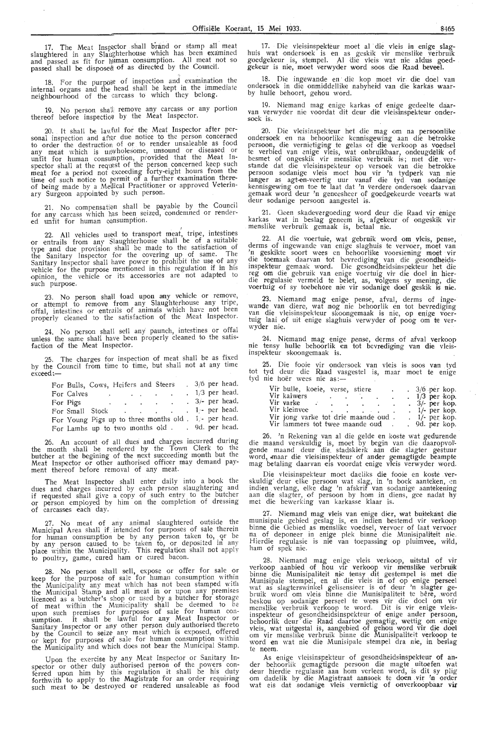17. The Meat Inspector shall brand or stamp all meat slaughtered in any Slaughterhouse which has been examined and passed as fit for  $\frac{1}{2}$  numeral consumption. All meat not so passed shall be disposed of as directed by the Council.

18. For the purpose of inspection and examination the internal organs and the head shall be kept in the immediate neighbourhood of the carcass to which they belong.

19. No person shall remove any carcass or any portion thereof before inspection by the Meat Inspector.

20. *It* shall be lawful for the Meat Inspector after personal inspection and after due notice to the person concerned to order the destruction of or. to render unsaleable as food any meat which is unwholesome, unsound or diseased or unfit for human consumption, provided that the Meat Inspector shall at the request of the person concerned keep such meat for a period not exceeding forty-eight hours from the<br>time of such notice to permit of a further examination thereof being made by a Medical Practitioner or approved Veterinary Surgeon appointed by such person.

21. No compensation shall be payable by the Council for any carcass which has been seized, condemned or rendered unfit for human oonsumption.

22. All vehicles used to transport meat, tripe, intestines or entrails from any Slaughterhouse shall be of a suitable type and due provision shall be made to the satisfaction of the Sanitary Inspector for the covering up of same. The Sanitary Inspector shall have power to prohibit the use of any vehicle for the purpose mentioned in this regulation if in his opinion, the vehicle or its accessories are not adapted to such purpose.

23. No person shall load upon any wehicle or remove, or attempt to remove from any Slaughterhouse any tripe, offal, intestines or entrails of animals which have not been<br>properly cleaned to the satisfaction of the Meat Inspector.

24. No person shall sell any paunch, intestines or offal unless the same shall have been properly cleaned to the satisfaction of the Meat Inspector.

25. The charges for inspection of meat shall be as fixed by the Council from time to time, but shall not at any time exceed:-

| For Bulls, Cows, Heifers and Steers                      |  |  |  |  | $3/6$ per head.   |
|----------------------------------------------------------|--|--|--|--|-------------------|
| For Calves                                               |  |  |  |  | $1/3$ per head.   |
| For Pigs $\cdot \cdot \cdot \cdot \cdot$                 |  |  |  |  | $. 3/-$ per head. |
| For Small Stock 1 per head.                              |  |  |  |  |                   |
| For Young Pigs up to three months old $1$ . 1. per head. |  |  |  |  |                   |
| For Lambs up to two months old 9d. per head.             |  |  |  |  |                   |

26. An account of all dues and charges incurred during the month shall be rendered by the Town Clerk to the butcher at the begining of the next succeeding month but the Meat Inspector or other authorised officer may demand payment thereof before removal of any meat.

The Meat Inspector shall enter daily into a book the dues and charges incurred by each person slaughtering and if requested shall give a copy of such entry. to the butcher or person employed by him on the completion of dressing carcasses each day.

27. No meat of any animal slaughtered outside the Municipal Area shall if intended for purposes of sale therein for human consumption be by any person taken to, or be by any person caused to be taken to, or deposited in any place within the Municipality. This regulation shall not apply *to* poultry, game, cured ham or cured bacon.

28. No person shall sell, expose or offer for sale or keep for the purpose of sale for human consumption within the Municipality any meat which has not been stamped with the Municipal Stamp and all meat in or upon any premises licenced as a butcher's shop or used by a butcher for storage of meat within the Municipality shall be deemed to be upon such premises for purposes of sale for human con- sumption. lt shall be lawful for any Meat In\_spector or Sanitary Inspector or any other person duly authorised thereto by the Council to seize any meat which is exposed, offered or kept for purposes of sale for human consumption within the Municipality and which does not bear the Municipal Stamp.

Upon the exercise by any\_ Meat Inspector or Sanitary Inspector or other duly authorised person of the powers con-<br>ferred upon him by this regulation it shall be his duty forthwith to apply to the Magistrate for an order requiring such meat to be destroyed or rendered unsaleable as food

17. Die vleisinspekteur moet al die vleis in enige slaghuis wat ondersoek is en as geskik vir menslike verbruik goedgekeur is, stempel. Al die vieis wat n1e aldus goedgekeur is nie, moet verwyder word soos die Raad beveel.

18. Die ingewande en die kop moet vir die doel van ondersoek in die onmiddellike nabyheid van die karkas waar-<br>by hulle behoort, gehou word.

19. Niemand mag enige karkas of enige gedeelte daarvan verwyder nie voordat dit deur die vleisinspekteur ondersoek is.

20. Die vleisinspekteur het die mag om na persoonlike ondersoek en na behoorlike kennisgewing aan die betrokke persoon, die vernietiging te gelas of die verkoop as voedsel te verbied van enige vleis, wat onbruikbaar, ondeugdeliik of besmet of ongeskik vir menslike verbruik is; met die verstande dat die vleisinspekteur op versoek van die betrokke persoon sodanige vleis moet hou vir 'n tydperk van nie langer as agt-en-veertig uur vanaf die tyd van sodanige kennisgewing om toe te laat dat 'n verdere ondersoek daarvan gemaak word deur 'n geneesheer of goedgekeurde veearts wat deur sodanige persoon aangestel is.

21. Oeen skadevergoeding word deur die Raad vir enige karkas wat in beslag geneem is, afgekeur of ongeskik vir<br>menslike verbruik gemaak is, betaal nie.

22. Al die voertuie, wat gebruik word om vleis, pense, derms of ingewande van enige slaghuis te vervoer, moet van 'n geskikte soort wees en behoorlike voorsiening moet vir die toemaak daarvan tot bevrediging van die gesondheidsinspekteur gemaak word. Die gesondheidsinspekteur het die reg om die gebruik van enige voertuig vir die doel in hierdie regulasie vermeld te belet, as, volgens sy mening, die<br>voertuig of sy toebehore nie vir sodanige doel geskik is nie.

23. Niemand mag enige pense, afval, derms of ingewande van diere, wat nog nie behoorlik en tot bevrediging<br>van die vleisinspekteur skoongemaak is nie, op enige voertuig laai of uit enige slaghuis verwyder of poog om te ver-<br>wyder nie.

24. Niemand mag enige pense, derms of afval verkoop nie tensy hulle behoorlik en tot bevrediging van die vleisinspekteur skoongemaak is.

tot tyd 25. Die fooie vir ondersoek van vleis is soos van tyd tyd deur die Raad vasgestel is, maar moet te enige<br>nie hoër wees nie as:—

| Vir bulle, koeie, verse, stiere                                   |        | $.3/6$ per kop.  |
|-------------------------------------------------------------------|--------|------------------|
| Vir kalwers                                                       |        | $1/3$ per kop.   |
| Vir varke<br><b>Contract Contract</b><br><b>Contract Contract</b> | $\sim$ | $.3/$ - per kop. |
| Vir kleinvee                                                      |        | $1/-$ per kop.   |
| Vir jong varke tot drie maande oud.                               |        | $1/-$ per kop.   |
| Vir lammers tot twee maande oud                                   |        | . 9d. per kop.   |

26. 'n Rekening van al die gelde en koste wat gedurende die maand verskuldig is, moet by begin van die daaropvolt gende maand deur die stadsklerk aan die slagter gestuur word, maar die vleisinspekteur of ander gemagtigde beampte mag betaling daarvan eis voordat enige vleis verwyder word.

Die vleisinspekteur moet daeliks die fooie en koste verskuldig deur elke persoon wat slag, in 'n boek aanteken, en indien verlang, elke dag 'n afskrif van sodanige aantekening<br>aan die slagter, of persoon by hom in diens, gee nadat hy met die bewerking van karkasse klaar is.

27. Niemand mag vleis van enige dier, wat buitekant die munisipale gebied geslag is, en indien bestemd vir verkoop binne die Gebied as menslike voedsel, vervoer of laat vervoer na of deponeer in enige plek binne die Munisipaliteit nie. Hierdie regulasie is nie van toepassing op pluimvee, wild, ham of spek nie.

28. Niemand mag enige vleis verkoop, uitstal of vir verkoop aanbied of hou vir verkoop vir menslike verbruik binne die Munisipaliteit nie tensy dit gestempel is met die<br>Munisipale stempel, en al die vleis in of op enige perseel<br>wat as slagterswinkel gelisensieer is of deur 'n slagter gebruik word om vleis binne die Munisipaliteit te bêre, word beskou op sodanige perseel te wees vir die doel om vir<br>menslike verbruik verkoop te word. Dit is vir enige vleisinspekteur of gesondheidsinspekteur of enige ander persoon, behoorlik deur die Raad daartoe gemagtig, wettig om enige vleis, wat uitgestal is, aangebied of gehou word vir die doel<br>om vir menslike verbruik binne die Munisipaliteit verkoop te word en wat nie die Munisipale stempel dra nie, in besfag te neem.

As enige vleisinspekteur of gesondheidsinspekteur of an• der behoorlik gemagtigde persoon die magte uitoefen. wat deur hierdie regulasie aan horn verleen word, is dit sy plig om dadelik by die Magistraat aansoek te doen vir 'n order wat eis dat sodanige vleis vernietig of onverkoopbaar vir  $\mathcal{C}_{\mathcal{A}}$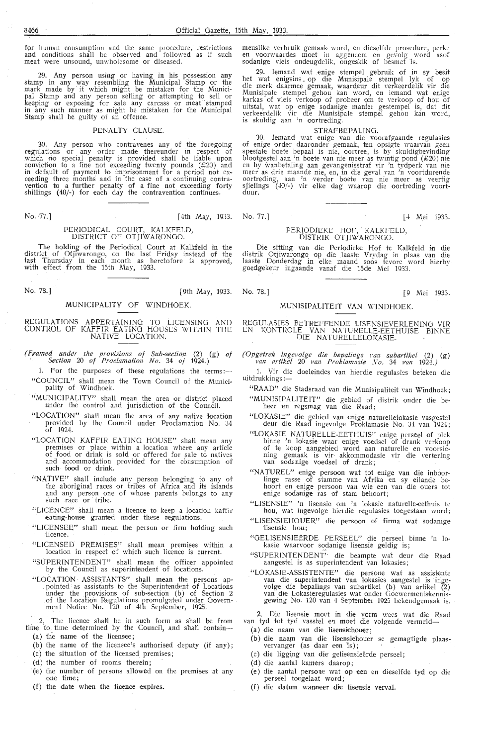for human consumption and the same procedure, restrictions and conditions shall be observed and followed as if such meat were unsound, unwholesome or diseased.

29. Any person using or having in his possession any stamp in any way resembling the Municipal Stamp or the mark made by it which might be mistaken for the Municipal Stamp and any person selling or attempting to sell or keeping or exposing for sale any carcass or meat stamped in any such manner as might be mistaken for the Municipal Stamp shall be guilty of an offence.

#### PENALTY CLAUSE.

30. Any person who contravenes any of the foregoing regulations or any order made thereunder in respect of which no special penalty is provided shall be liable upon conviction to a fine not exceeding twenty pounds (£20) and in default of payment to imprisonment for a period not ex-<br>ceeding three months and in the case of a continuing contra-<br>vention to a further penalty of a fine not exceeding forty shillings (40/-) for each day the contravention continues.

No. 77.] [4th May, 1933. No. 77.] [4 Mei 1933.

#### PERIODICAL COURT, KALKFELD, DISTRICT OF OTJIWARONGO.

**The** holding of the Periodical Court at Kalkfeld **in** the district of Otjiwarongo, on the last Friday instead of the last Thursday in each month as heretofore is approved, with effect from the 15th May, 1933.

No. 78.] [9th May, 1933. No. 78.] [9 Mei 1933.

#### MUNICIPALITY OF WINDHOEK.

#### REGULATIONS APPERTAINING TO LICENSING AND CONTROL OF KAFFIR EATING HOUSES WITHIN THE NATIVE LOCATION.

- *(F,ramed UJZder ihe provisions of Sub-section* (2) (g) *oj Sectiov-z* 20 *of Proclamation No.* 34 *of* 1924.)
- 1. For the purposes of these regulations the terms: $-$ "COUNCIL" shall mean the Town Council of the Municipality of Windhoek.
- "MUNICIPALITY" shall mean the area or district placed under the control and jurisdiction of the Council.
- "LOCATION" shall mean the area of any native location provided by the Council under Proclamation No. 34 of 1924.
- "LOCATION KAFFIR EATING HOUSE" shall mean any premises or place within a location where any article of food or drink is sold or offered for sale to natives and accommodation provided for the consumption of such food or drink.
- "NATIVE" shall include any person belonging to any of the aboriginal races or tribes of Africa and its islands and any person one of whose parents belongs to any such race or tribe.
- "LICENCE" shall mean a 1icence to keep a location kaffir eating-house granted under these regulations.
- "LICENSEE" shall mean the person or firm holding such lioence.
- "LICENSED PREMISES" shall mean premises within a location in respect of which such licence is current.
- "SUPERINTENDENT" shall mean the officer appointed by the Council as superintendent of locations.
- "LOCATION ASSISTANTS" shall mean the persons ap- . pointed as assistants to the Superintendent of Locations under the provisions of sub-section (b) of Section 2 of the Location Regulations promulgated under Government Notice No. 120 of 4th September, 1925.
- 2. The licence shall be in such form as shall be from time to time determined by the Council, and shall contain-
	- (a) the name of the licensee;
	- (b) the name of the licensee's authorised deputy (if any);
	- ( c) the situation of the licensed premises;
	- (d) the number of rooms therein;
- (e) the number of persons allowed on the \_premises at any one time;
- (f) the date when the licence expires.

menslike verbruik gemaak word, en dieselfde prosedure, perke en voorwaardes moet in aggeneem en gevolg word asof sodanige vleis ondeugdelik, ongeskik of besmet is.

29. Iemand wat enige stempel gebruik of in sy besit het wat enigsins . op die Munisipale stempel lyk of op die merk daarmee gemaak, waardeur dit verkeerdelik vir die Munisipale stempel gehou kan word, en iemand wat enige<br>karkas of vleis verkoop of probeer om te verkoop of hou of uitstal, \Yat op enige sodanige manier gestempel is, dat dit verkeerdelik vir die Munisipale stempel gehou kan word, is skuldig aan 'n oortreding.

#### **STRAFBEPALING.**

30. Iemand wat enige **van** die voorafgaande regulasies of enige order daaronder gemaak, ten opsigte waarvan geen spesiale boete bepaal is nie, oortree, is by skuldigbevinding blootgestel aan 'n boete van nie meer as twintig pond (£20) nie en by wanbetaling aan gevangenisstraf vir 'n tydperk van nie meer as drie maande nie, en, in die geval van 'n voortdurende oortreding, aan 'n verder boete van nie meer as veertig sjielings (40/-) vir elke dag waarop die oortreding voort-<br>duur**.** 

#### PERJODIEKE HOF, KALKFELD, DlSTRIK OTJIWARONGO.

Die sitting van die Periodieke Hof te Kalkfeld in die distrik Otjiwarongo op die laaste Vrydag in plaas van die laaste Donderdag in elke maand soos tevore word hierby goedgekeur ingaande vanaf die 15de Mei 1933.

## MUNISIPALITEIT VAN WINDHOEK.

#### REGULASIES BETREFFENDE LISENSIEVERLENING VIR EN KONTROLE VAN NA TURELLE-EETHUISE BINNE DIE NATURELLELOKASIE.

*(Opgetrek ingevolge die bepalings rnn subartikel* (2) (g) *van artikel* 20 *van Proklamasi,e Xo.* 34 *van 1924.)* 

1. Vir die doeleindes van hierdie regulasies beteken die uitdrukkings :-

- "RAAD" die Stadsraad van die Munisipaliteit van Windhoek; "MUNISIPALITEIT" die gebied of distrik onder die beheer en regsmag van die Raad;
- "LOKASIE" die gebied van enige naturellefokasie vasgestel deur die Raad ingevolge Proklamasie No. 34 van 1924;
- "LOKASIE NATURELLE-EETHUIS" enige perseel of plek binne 'n lokasie waar enige voedsel of drank verkoop of te koop aangebied word aan naturelle en voorsiening gemaak is vir akkommodasie vir die vertering<br>van sodanige voedsel of drank;
- "NATUREL" enige persoon wat tot enige van die inboorlinge rasse of stamme van Afrika en sy eilande behoort en enige persoon van wie een van die ouers tot ,enige sodanige ras of stam behoort;
- "LISENSIE" 'n lisensie om 'n lokasie naturelle-eethuis te hou, wat ingevolge hierdie regulasies toegestaan word;
- "LISENSIEHOUER" die persoon of firma wat sodanige lisensie hou;
- "GELISENSIEERDE PERSEEL" die perseel binne 'n lokasie waarvoor sodanige lisensie geldig is;
- "SUPERINTENDENT'· die beampte wat deur die Raad aangestel is as superintendent van lokasies;
- "LOKASIE-ASSISTENTE" die persone wat as assistente van die superintendent van lokasies aangestel is ingevolge die bepalings van subartikel (b) van artikel (2)<br>van die Lokasieregulasies wat onder Goewermentskennisgewing No. 120 van 4 September 1925 bekendgemaak is.

2. Die lisensie moet in die vorm wees wat die Raad van tyd tot tyd vasstel en moet die volgende vermeld-

- (a) die naam van die lisensiehouer;
- (b) die naam van die lisensiehouer se gemagtigde plaasvervanger (as daar een is);
- (c) die ligging van die gelisensieërde perseel;
- (d) die aantal kamers daarop;
- (e) die aantal persoue wat op een en dieselfde tyd op die perseel toegelaat word;
- (f) die datum wanneer die lisensie verval.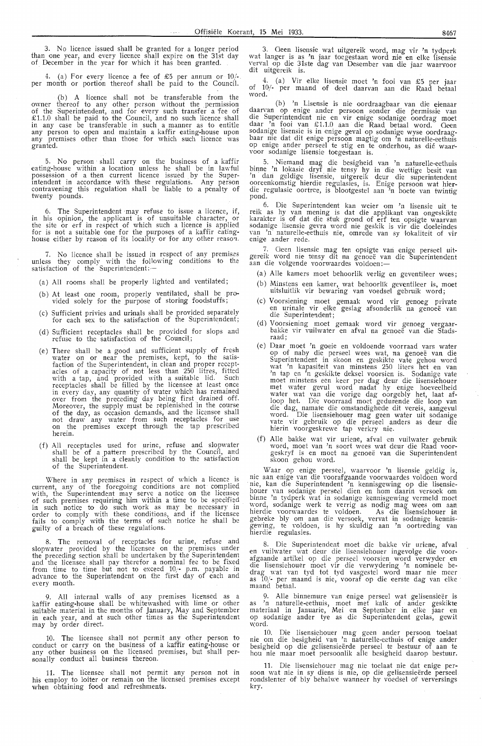3. No licence issued shall be granted for a longer period than one year, and every licence shall expire on the 31st day of December in the year for which it has been granted.

4. (a) For every licence a fee of £5 per annum or 10/-. per month or portion thereof shall be paid to the Council.

(b) A licence shall not be transferable from the owner thereof to any other person without the permission of the Superintendent, and for every such transfer a fee of  $£1.1.0$  shall be paid to the Council, and no such licence shall in any case be transferable in such a manner as to entitle any person to open and maintain a kaffir eating-house upon any premises other than those for which such licence was granted.

5. No person shall carry on the business of a kaffir eating-house within a location unless he shall be in lawful possession of a then current licence issued by the Superintendent in accordance with these regulations. Any person contravening this regulation shall be liable to a penalty of twenty pounds.

6. The Superintendent ·may refuse to issue a licence, if, in his opinion, the applicant is of unsuitable character, or the site or erf in respect of which such a licence is applied for is not a suitable one for the purposes of a kaffir eatinghouse either by reason of its locality or for any other reason.

7. No licence shall be issued in respect of any premises unless they comply with the following conditions to the satisfaction of the Superintendent: -

(a) All rooms shall be properly lighted and ventilated;

- (b) At least one room, properly ventilated, shall be provided solely for the purpose of storing foodstuffs;
- (c) Sufficient privies and urinals shall be provided separately for each sex to the satisfaction of the Superintendent;
- (d) Sufficient receptacles shall be provided for slops and refuse to the satisfaction of the Council;
- (e) There shall be a good and sufficient supply of fresh water on or near the premises, kept, to the satisfaction of the Superintendent, in clean and proper recept-<br>acles of a capacity of not less than 250 litres, fitted with a tap, and provided with a suitable lid. Such receptacles shall be filled by the licensee at least once in every day, any quantity of water which has remained over from the preceding day being first drained off. Moreover, the supply must be replenished in the course of the day, as occasion demands, and the licensee shall not draw any water from such receptacles for use<br>on the premises except through the tap prescribed herein.
- (f) All receptacles used for urine, refuse and slopwater shall be of a pattern prescribed by the Council, and shall be kept in a cleanly condition to the satisfaction of the Superintendent.

Where in any premises in respect of which a licence is current, any of the foregoing conditions are not complied with, the Superintendent may serve a notice on the licensee<br>of such premises requiring him within a time to be specified in such notice to do such work as may be necessary m order to comply with these conditions, and if the licensee fails to comply with the terms of such notice he shall be guilty of a breach of these regulations.

8. The removal of receptacles for urine, refuse and slopwater provided by the licensee on the premises under<br>the preceding section shall be undertaken by the Superintendent and the licensee shall pay therefor a nominal fee to be fixed from time to time but not to exceed 10.<sup>1</sup>- p.m. payable in advance to the Superintendent on the first day of each and every month.

9. All internal walls of any premises licensed as a kaffir eating-house shall be whitewashed with lime or other suitable material in the months of January, May and September in each year, and at such other times as the Superintendent may by order direct.

10. The licensee shall not permit any other person to conduct or carry on the business of a kaffir eating-house or any other business on the licensed premises, but shall personally conduct all business thereon.

11. The licensee shall not permit any person not in his employ to loiter or remain on the licensed premises except when obtaining food and refreshments.

3. Geen lisensie wat uitgereik word, mag vir 'n tydperk wat !anger is as 'n jaar toegestaan word nie en elke 'lisensie verval op die 31ste dag van Desember van die jaar waarvoor dit uitgereik is.

4. (a) Vir elke lisensie moet 'n fooi van £5 per jaar of 10/- per maand of dee! daarvan aan die Raad betaal word.

(b) 'n Lisensie is nie oordraagbaar van die eienaar daarvan op enige ander persoon sonder die permissie van<br>die Superintendent nie en vir enige sodanige oordrag moet daar 'n fooi van £ 1. 1.0 aan die Raad betaal word. Oeen sodanige lisensie is in enige geval op sodantge wyse oordraagbaar nie dat dit enige persoon magtig om 'n naturelle-eethuis op enige ander perseel te stig en te onderhou, as dié waar-<br>voor sodanige lisensie toegestaan is.

5. Niemand mag die besigheid van 'n naturelle-eethuis binne 'n lokasie dryf nie tensy hy in die wettige besit van<br>'n dan geldige lisensie, uitgereik deur die superintendent ooreenkomstig hierdie regulasies, is. Enige persoon wat hierdie regulasie oortree, is blootgestel aan 'n boete van twintig pond.

6. Die Superintendent kan weier om 'n lisensie uit te reik as hy van mening is dat die applikant van ongeskikte<br>karakter is of dat die stuk grond of erf ten opsigte waarvan<br>sodanige lisensie gevra word nie geskik is vir die doeleindes<br>van 'n naturelle-eethuis nie, omrede van van 'n naturelle-eethuis nie, omrede van sy lokaliteit of vir enige ander rede.

7. Oeen lisensie mag ten opsigte van enige perseel uitgereik word nie tensy dit na genoeë van die Superintendent<br>aan die volgende voorwaardes voldoen:—

- (a) Alle kamers moet behoorlik verlig en geventileer wees; (b) Minstens een kamer, wat behoorlik geventileer is, moet uitsluitlik vir bewaring van voedsel gebruik word;
- (c) Voorsiening moet gemaak word vir genoeg private en urina1e vir elke geslag afsonderlik na genoee van die Superintendent;
- (d) Voorsiening moet gemaak word vir genoeg vergaarbakke vir vuilwater en afval na genoeë van die Stadsraad;
- (e) Daar moet 'n goeie en voldoende voorraad vars water op of naby die perseel wees wat, na genoee van die Superintendent in skoon en geskikte vate gehou word wat 'n kapasiteit van minstens 250 liters het en van 'n tap en 'n geskikte deksel voorsien is. Sodanige vate moet minstens een keer per dag deur die lisensiehouer met water gevul word nadat hy enige hoeveelheid water wat van die vorige dag oorgebly het, laat af-<br>loop het. Die voorraad moet gedurende die loop van<br>die dag, namate die omstandighede dit vereis, aangevul word. Die lisensiehouer mag geen water uit sodanige vate vir gebruik op die perseel anders as deur die hierin voorgeskrewe tap verkry nie.
- (f) Alle bakke wat vir uriene, afval en vuilwater gebruik word, moet van 'n soort wees wat deur die Raad voor-<br>geskryf is en moet na genoeë van die Superintendent skoon gehou word.

\Vaar op enige perseel, waarvoor 'n lisensie geldig is, nie aan enige van die voorafgaande voorwaardes voldoen word<br>nie, kan die Superintendent 'n kennisgewing op die lisensiehouer van sodanige perseel dien en hom daarin versoek om<br>binne 'n tydperk wat in sodanige kennisgewing vermeld moet word, sodanige werk te verrig as nodig mag wees om aan<br>hierdie voorwaardes te voldoen. As die lisensiehouer in gebreke bly om aan die versoek, vervat in sodanige kennis-<br>gewing, te voldoen, is hy skuldig aan 'n oortreding van<br>hierdie regulasies.

8. Die Superintendent moet die bakke vir uriene, afval<br>en vuilwater wat deur die lisensiehouer ingevolge die voor-<br>afgaande artikel op die perseel voorsien word verwyder en<br>die lisensiehouer moet vir die verwydering 'n nom drag wat van tyd tot tyd vasgestel word maar nie meer as 10/- per maand is nie, vooraf op die eerste dag van elke maand betaal.

9. Alle binnemure van enige perseel wat gelisensieër is as 'n naturelle-eethuis, moet met kalk of ander geskikte materiaal in Januarie, Mei en September in elke jaar en<br>op sodanige ander tye as die Superintendent gelas, gewit word.

10. Die lisensiehouer mag geen ander persoon toelaat nie om die besigheid van 'n naturelle-eethuis of enige ander besigheid op die gelisensieerde perseel te bestuur of aan te hou nie maar moet persoonlik alle besigheid daarop bestuur.

11. Die lisensiehouer mag nie toelaat nie dat enige per-<br>soon wat nie in sy diens is nie, op die gelisensieërde perseel rondslenter of bly behalwe wanneer hy voedsel of verversings kry.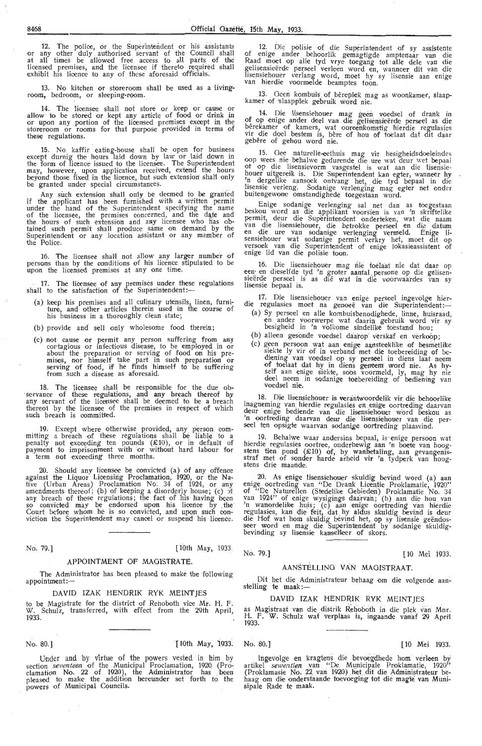12. The police, or the Superintendent or his assistants or any other duly authorised servant of the Council shall at all times be allowed free access to all parts of the licensed premises, and the licensee if thereto required shall exhibit his licence to any of. these aforesaid officials.

13. No kitchen or storeroom shall be used as a livingroom, bedroom, or s1eeping-room.

14. The licensee shall not store or keep or cause or allow to be stored or kept any article of food or drink in or upon any portion of the licensed premises except in the stcireroom or rooms for that purpose provided in terms of these regulations.

15. No kaffir eating-house shall be open for business except durnig the hours laid down by law or laid down in the form of licenoe issued to the licensee. The Superintendent may, however, upon application received, extend the hours beyond those fixed in the licence, but such extension sha1'1 only be granted under special circumstances.

Any such extension shall only be deemed to be granted if the applicant has been furnished with a written permit under the hand of the Superintendent specifying the name<br>of the licensee, the premises concerned, and the date and the hours of such extension and any licensee who has obtained such permit shall produce same on demand by the<br>Superintendent or any location assistant or any member of the Polioe.

16. The licensee shall not allow any larger number of persons than by the conditions of his licence stipulated to be upon the licensed premises at any one time.

17. The licensee of any premises under these regulations shall to the satisfaction of the Superintendent:-

- (a) keep his premises and all culinary utensils, linen, furniture, and other articles therein used in the course of ture, and other articles therein used in<br>his business in a thoroughly clean state;
- (b) provide and sell only wholesome food therein;
- (c) not cause or permit any person suffering from any cortagious or infectious disease, to be employed in or cortagious or infectious disease, to be employed in or about the preparation or serving of food on his premises, nor himself take part in such preparation or serving of food, if he finds himself to be suffering from such a disease as aforesaid.

18. The licensee shall be responsible for the due ob-<br>servance of these regulations, and any breach thereof by any' servant of the licensee shall be deemed to be a breach thereoi by the licensee of the premises in respect of which such breach is committed.

19, Except where otherwise provided, any person com-<br>mitting a breach of these regulations shall be liable to a<br>penalty not exceeding ten pounds (£10), or in default of payment to imprisonment with or without hard labour for<br>a term not exceeding three months.

20. Should any licensee be convicted (a) of any offenoe against the Liquor Licensing Proclamation, 1920, or the Native (Urban Areas) Proclamation No. 34 of 1924, or any amendments thereof; (b) of keeping a disorderly house; (c)  $\sigma$ any breach of these regulations; the fact of his having been<br>so convicted may be endorsed upon his licence by the<br>Court before whom he is so convicted, and upon such con-<br>viction the Superintendent may cancel or suspend hi

No. 79.] [10th May, 1933.

#### APPOINTMENT OF MAGISTRATE

The Administrator has been pleased to make the following appointment:-

DAVID IZAK HENDRIK RYK MEINTJES

to be Magistrate for the district of Rehoboth vice Mr. H. F. W. Schulz, transferred, with effect from the 20th April Schulz, transferred, with effect from the 29th April, 1933.

No. 80.] [10th May, 1933'. No. 80.] [ 10 Mei 1933.

Under and by virtue of the powers vested in him by section *seventeen* of the Municipal Proclamation, 1920 (Pro-<br>clamation No. 22 of 1920), the Administrator has been pleased to make the addition hereunder set forth to the powers of Municipal Councils.

12. Die polisie of die Superintendent of sy assistente of enige ander behoorlik gemagtigde amptenaar van die Raad moet op alle tyd vrye toegang tot alle dele van die gelisensieërde perseel verleen word en, wanneer dit van die lisensiehouer verlang word, moet hy sy lisensie aan enige<br>van hierdie voormelde beamptes toon.

13. Geen kombuis of bêreplek mag as woonkamer, slaap-kamer of slaapplek gebruik word nie.

14. Die lisensiehouer mag geen voedsel of drank in of op enige ander deel van die gelisensieërde perseel as die bêrekamer of kamers, wat ooreenkomstig hierdie regulasies vir die doe! bestem is, bere of hou of toelaat dat dit daar gebere of gehou word nie.

15. Gee naturelle~thuis mag vir besigheidsdoeleindes oop wees nie behalwe gedurende die ure wat deur wet bepaal ot op die lisensievorm vasgestel is wat aan die lisensiehouer uitgereik is. Die Superintendent kan egter, wanneer hy<br>'n dergelike aansoek ontvang het, die tyd bepaal in die<br>lisensie verleng. Sodanige verlenging mag egter net onder buitengewone omstandighede toegestaan word.

Enige sodanige verlenging sal net dan as toegestaan beskou word as die applikant voorsien is van 'n skriftelike permit, deur die Superintendent onderteken, wat die naam<br>van die lisensiehouer, die betrokke perseel en die datum<br>en die ure van sodanige verlenging vermeld. Enige lisensiehouer wat sodanige permit verkry het, moet dit op versoek van die Superintendent of enige lokasieassistent of enige lid van die polisie toon.

16. Die lisensiehouer mag nie toelaat nie dat daar op een en dieselfde tyd 'n groter aantal persone op die gelisensieërde perseel is as dié wat in die voorwaardes van sy<br>lisensie bepaal is.

17. Die lisensiehouer van enige perseel ingevolge hier-<br>die regulasies moet na genoeë van die Superintendent:-

- (a) Sy perseel en alle kombuisbenodighede, linne, huisraad, en antler voorwerpe wat daarin gebruik word vir sy besigheid in 'n volkome sindelike toestand hou;
- (b) alleen gesonde voedsel daarop verskaf en verkoop;
- (c) geen persoon wat aan enige aansteeklike of besmetlike siekte ly vir of in verband met die toebereiding of bediening van voedsel op sy perseel in diens laat neem<br>of toelaat dat hy in diens geneem word nie. As hyself aan enige siekte, soos voormeld, ly, mag hy nie deel neem in sodanige toebereiding of bediening van<br>voedsel nie.

18. Die lisensiehouer is verantwoordelik vir die behoorlike inagneming van hierdie regulasies en .enige oortreding daarvan deur enige bediende van die lisensiehouer word beskou as 'n oortreding daarvan deur die lisensiehouer van die perseel ten opsigte waarvan sodanige oortreding plaasvind.

19. Behalwe waar andersins bepaal, is enige persoon wat hierdie regulasies oortree, onderhewig aan 'n boete van hoogstens tien pond  $(E10)$  of, by wanbetaling, aan gevangenisstraf met of sonder harde arbeid vir 'n tydperk van hoogstens drie maande.

20. As enige lisensiehouer skuldig bevind word (a) aan enige oortreding van "De Drank Licentie Proklamatie, 1920" of "De Naturellen (Stedelike Gebieden) Proklamatie No. 34 van 1924" of enige wysigings daarvan; (b) aan die hou van 'n wanordelike huis; (c) aan enige oortreding van hierdie regulasies, kan die feit, dat hy aldus skuldig bevind is deur die Hof wat hom skuldig bevind het, op sy lisensie geëndos-<br>seer word en mag die Superintendent by sodanige skuldigbevinding sy lisensie kansel'leer of skors.

No. 79.1 [10 Mei 1033]

#### AANSTELLING VAN MAGISTRAAT

Dit het die Administrateur behaag om die volgende aan- stelling te maak :-

#### DAVID IZAK HENDRIK RYK MEINTJES

as Magistraat van die distrik Rehoboth in die plek van Mnr. H. F. W. Schulz wat verplaas is, ingaande vanaf 29 April 1933.

Ingevolge en kragtens die bevoegdhede hom verleen by artikel *sewentien* van "De Municipale Proklamatie, 1920" (Proklamasie No. 22 van 1920) het dit die Administrateur behaag om die onderstaande toevoeging tot die magte van Munisipale Rade te maak.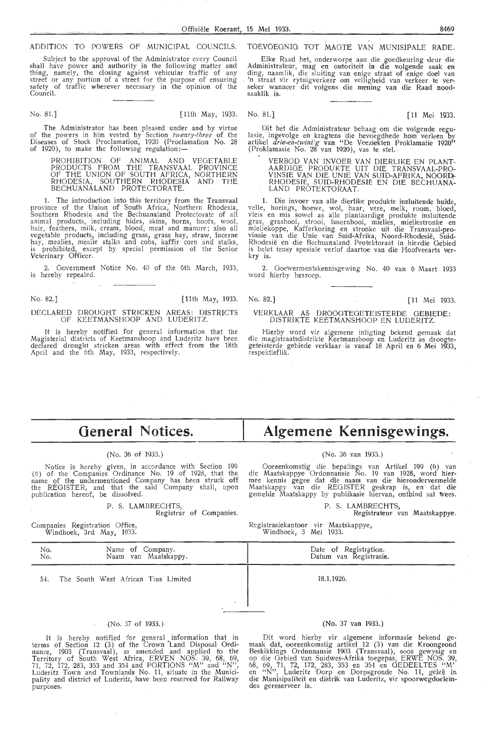#### ADDITION TO POWERS OF MUNICIPAL COUNCILS.

Subject to the approval of the Administrator every Council shall have power and authority in the following matter and thing, namely, the closing against vehicular traffic of any street or any portion of a street for the purpose of ensuring safety of traffic wherever necessary in the opinion of the Council.

No. 81.] [11th May, 1933. No. 81.] [11 Mei 1933.

The Administrator has been pleased under and by virtue of the powers in him vested by Section *twenty-three* of the Diseases of Stock Proclamation, 1920 (Proclamation No. 28 of 1920), to make the following regulation:-

PROHIBITION OF ANIMAL AND VEGETABLE PRODUCTS FROM THE TRANSVAAL PROVINCE OF THE UNION OF SOUTH AFRICA, NORTHERN RHODESIA, SOUTHERN RHODESIA AND THE BECHUANALAND PROTECTORATE.

1. The introduction into this territory from the Transvaal province of the Union of South Africa, Northern Rhodesia, Southern Rhodesia and the Bechuanaland Protectorate of a1'1 animal products, including hides, skins, horns, hoofs, wool, hair, feathers, milk, cream, blood, meat and manure; also all vegetable products, including grass, grass hay, straw, Iucerne hay, mealies, mealie stalks and cobs, kaffir corn and stalks, is prohibited, except by special permission of the Senior Veterinary Officer.

Government Notice No. 40 of the 6th March, 1933, is hereby repealed.

No. 82.] [11th May, 1933.

#### DECLARED DROUGHT STRICKEN AREAS: DISTRICTS OF KEETMANSHOOP AND LUDERITZ.

It is herebv notified for general information that the Magisterial districts of Keetmanshoop and Luderitz have been declared drought stricken areas with effect from the 18th April and the 6th May, 1933, respectively.

#### TOEVOEGNIG TOT MAOTE VAN MUNISIPALE RADE.

Elke Raad het, onderworpe aan die goedkeuring deur die Administrateur, mag en outoriteit in die volgende saak en<br>ding, naamlik, die sluiting van enige straat of enige deel van<br>'n straat vir rytuigverkeer om veiligheid van verkeer te verseker wanneer dit volgens die mening van die Raad noodsaaklik is.

Dit het die Administrateur behaag om die volgende regulasie, ingevolge en kragtens 'die bevoegdhede horn ver1een by artikel *drie-en-twintig* van "De Veeziekten Proklamatie 1920" (Proklamasie No. 28 van 1920), vas te stel..

VERBOD VAN INVOER VAN DIERLIKE EN PLANT-AARDIGE PRODUKTE UIT DIE TRANSVAAL-PRO-VINSIE VAN DIE UNIE VAN SUID-AFRIKA, NOORD\- RHODESIË, SUID-RHODESIË EN DIE BECHUANA-LAND PROTEKTORAAT.

1. Die invoer van alle dierlike produkte insluitende huide, velle, horings, hoewe, wol, haar, vere, melk, room, bloed, vleis en mis sowel as alle plantaardige produkte insluitende gras, grashooi, strooi, lusernhooi, mielies, mieliestronke en<br>mieliekoppe, Kafferkoring en stronke uit die Transvaal-provinsie Yan die Unie van Suid-Afrika, Noord-Rhodesie, Suid-Rhodesië en die Bechuanaland Protektoraat in hierdie Gebied is belet tensy spesiale verlof daartoe van die Hoofveearts ver- kry is.

2. Goewermentskennisgewing No. 40 van 6 Maart 1933 word hierby herroep.

No. 82.] [11 Mei 1933.

#### VERKLAAR AS DROOGTEOETEISTERDE GEBIEDE: DISTRIKTE KEETMANSHOOP EN LUDERITZ.

Hierby word vir algemene inligting bekend gemaak dat die magistraatsdistrikte Keetmanshoop en Luderitz as droogtegeteisterde gebiede verklaar is vanaf 18 April en 6 Mei 1933, respektieflik.

# **General Notices.**

#### (No. 36 of 1933.)

Notice is hereby given, in accordance with Section 199 (6) of the Companies Ordinance No. 19 of 1928, that the name of the undermentioned Company has been struck off the REGISTER, and that the said Company shall, upon publication hereof, be dissolved.

#### P. S. LAMBRECHTS,

Registrar of Companies.

Companies Registration Office, Windhoek, 3rd May, 1933.

# **Algemene Kennisgewings.**

#### (No. 36 van 1933.)

Ooreenkomstig die bepalings van Artikel 199 (6) van die Maatskappye Ordonnansie No. 19 van 1928, word hier-<br>mee kennis gegee dat die naam van die hierondervermelde Maatskappy van die REGISTER geskrap is, en dat die gemelde M.aatskappy by publikasie hiervan, ontbind sal wees.

P. S. LAMBRECHTS,

Registrateur van Maatskappye.

Registrasiekantoor vir Maatskappye, Windhoek, 3 Mei 1933.

| No.<br>No. | Name of Company.<br>Naam van Maatskappy. | Date of Registration.<br>Datum van Registrasie. |
|------------|------------------------------------------|-------------------------------------------------|
| 54.        | The South West African Tins Limited      | 18.1.1926.                                      |
|            |                                          |                                                 |

#### (No. 37 of 1933.)

It is hereby notified for general information that in terms of Section 12 (3) of the Crown Land Disposal Ordinance, 1903 (Transvaal), as amended and applied *to* the Territory of South West Africa, ERVEN NOS. 39, 68, 69, 71, 72, 172, 283, 353 and 354 and PORTIONS "M" and "N", Luderitz Town and Townlands No. 11, situate in the Munici-<br>pality and district of Luderitz, have been reserved for Railway purposes.

#### (No. 37 van 1933.)

Dit word hierby vir algemene informasie bekend gemaak dat, ooreenkomstig artikel 12 (3) van die Kroongrond Beskikkings Ordonnansie 1903 (Transvaal), soos gewysig en<br>op die Gebied van Suidwes-Afrika toegepas, ERWE NOS. 39, 68, 69, 71, 72, 172, 283, 353 en 354 en GEDEELTES "M' en "N", Luderitz Dorp en Dorpsgronde No. 11, gelee in die Munisipaliteit en distrik van Luderitz, vir spoorwegdoeleindes gereserveer is.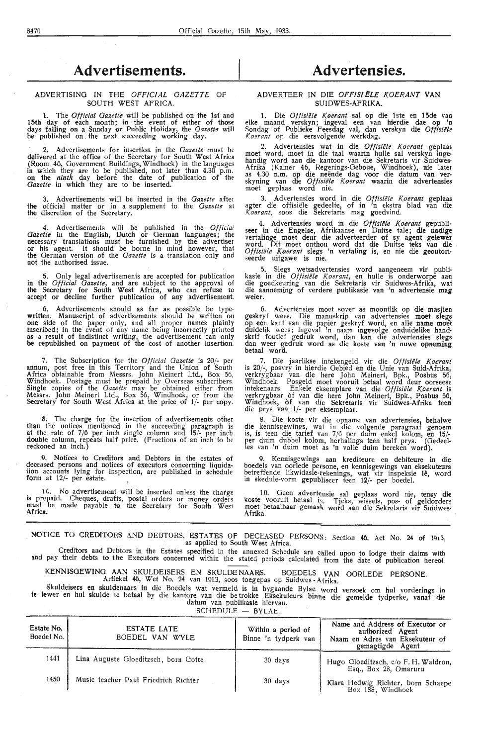# **Advertisements.**

#### ADVERTISING IN THE *OFFiCIAL GAZETTE* OF SOUTH WEST AFRICA.

**1.** The *Official Gazette* will be published on the 1st and 15th day of each month; in the event of either of those days falling on a Sunday or Public Holiday, the *Gazette* will be published on the next succeeding working day.

2. Advertisements for insertion in the *Gazette* must be delivered at the office of the Secretary for South West Africa (Room 46, Government Buildings, Windhoek) in the languages in which they ar•e to be published, not later than 4.30 p.m. on the *ninth* day before the date of publication of *the Gazette* in which they are to be inserted.

3. Advertisements will be inserted in the *Gazette* after the official matter or in a supplement to the *Gazette* a1 the discretion of the Secretary.

4. Advertisements will be published in the *Official Gazette* in the English, Dutch or German languages; the necessary translations must be furnished by the advertiser or his agent. It should be borne in mind however, that the German version of the *Gazette* is a translation only and not the authorised issue.

5. Only legal advertisements are accepted for publication in the *Official Gazette,* and are subject to the approval of the Secretary for South West Africa, who can refuse to accept or decline further publication of any advertisement.

6. Advertisements should as far as possible be typewritten. Manuscript of advertisements should be written on one side of the paper only, and all proper names plainly inscribed; in the event of any name being incorrectly printed as a result of indistinct writing, the advertisement can only be republished on payment of the cost of another insertion.

7. The Subscription for the *Official Gazette* is 20/- per annum, post free in this Territory and the Union of South Africa obtainable from Messrs. John Meinert Ltd., Box 56, Windhoek. Postage must be prepaid by .Overseas subscribers. Single copies of the *Gazette* may be obtained either from Messrs. John Meinert Ltd., Box 56, Windhoek, or from the Secretary for South West Africa at the price of 1/- per copy.

8. The charge for the insertion of advertisements other than the notioes mentioned in the succeeding paragraph is at the rate of 7/6 per inch single column and 15/- per inch double column, repeats half price. (Fractions of an inch to be reckoned an inch.)

9. Notices to Creditors and Debtors in the estates of deceased persons and notices of executors concerning liquidation accounts lying for inspection, are published in schedule fQrm at 12/- per estate.

16. No advertisement will be inserted unless the charge is prepaid. Cheques, drafts, postal orders or money orders<br>must be made payable to the Secretary for South Wesi Africa.

# **Advertensies.**

#### ADVERTEER IN DIE OFFISI ELE KOERANT VAN SUIDWES-AFRIKA.

1. Die *Offisiele K.oerant* sal op die lste en 15de van elke maand verskyn; ingeval een van hierdie dae op 'n Sondag of Publieke Feesdag val, dan verskyn die *Offisielt Koerant* op die eersvolgende werkdag.

2. Advertensies wat in die Offisiële Koerant geplaas moet word, moet in die taal waarin hulle sal verskyn ingehandig word aan die kantoor van die Sekretaris vir Suidwes-Afrika (Kamer 46, Regerings-Geboue, Windhoek), nie later as 4.30 n.m. op die neende dag voor die datum van ver- skyning van die *OffisiiJle K.oerant* waarin die advertensies moet geplaas word nie.

3. Advertensies word in die *Offisiele Koerant* geplaas agter die offisiele gedeelte, of in 'n ekstra blad van die K *oerant,* soos die Sekretaris mag goedvind.

4. Advertensies word in die *Offisiële Koerant* gepubliseer in die Engelse, Afrikaanse en Duitse tale; die nodige vertalinge moet deur die adverteerder of sy agent gelewer word. Dit moet onthou word dat die Duitse teks van die Offisiële Koerant slegs 'n vertaling is, en nie die geoutoriseerde uitgawe is nie.

5. Slegs wetsadvertensies word aangeneem vir publikasie in die *Offisiële Koerant,* en hulle is onderworpe aan<br>die goedkeuring van die Sekretaris vir Suidwes-Afrika, wat die aanneming of verdere publikasie van 'n advertensie **mag**  weier.

6. Advertensies moet sover as moontlik op die masjien geskryf wees. Die manuskrip van advertensies moet slegs op een kant van die papier geskryf word, en alle name moet duidelik wees; ingeval 'n naam ingevolge onduidelike handskrif foutief gedruk word, dan kan die advertensies slegs dan weer gedruk word as die koste van 'n nuwe opneming betaal word.

7. Die jaarlikse intekengeld vir die *Offisiele Koerant*  is 20/-, posvry in hierdie Gebied en die Unie van Suid-Afrika, verkrygbaar van die here John Meinert, Bpk., Posbus 56, Windhoek. Posgeld moet vooruit betaal word deur oorseese intekenaars. Enkele eksemplare van die · *Offisiele Koerant* is verkrygbaar of van die here John Meinert, Bpk., Posbus 56, Windhoek, of van die Sekretaris vir Suidwes-Afrika teen die prys van 1/- per eksemplaar.

8. Die koste vir die opname van advertensies, behalwe die kennisgewings, wat in die volgende paragraaf genoem is, is teen die tarief van 7/6 per duim enkel kolom, en 15/ per duim dubbel kolom, herhalings teen half prys. (Oedeel-tes van 'n duim moet as 'n volle duim bereken word).

9. Kennisgewings aan krediteure en debiteure in die boedels van oorlede persone, en kennisgewings van eksekuteurs betreffende likwidasie-rekenings, wat vir inspeksie le, word in skedule-vorm gepubliseer teen 12/- per boedel.

10. Geen advertensie sal geplaas word nie, tensy die koste vooruit betaal is. Tjeks, wissels, pos- of geldorders moet betaalbaar gemaak word aan die Sekretaris vir Suidwes-A frika.

NOTICE TO CREDITORS AND DEBTORS. ESTATES OF DECEASED PERSONS: Section 46, Act No. 24 of 1913. as applied to South West Africa.

Creditors and Debtors in the Estates specified in the annexed Schedule are ealled upon to lodge their claims with and pay their debts to the Executors concerned within the stated periods calculated from the date of publication hereof.

KENNISGEWING AAN SKULDEISERS EN SKULDENAARS. BOEDELS VAN OORLEDE PERSONE.<br>Artiekel 46, Wet No. 24 van 1913, soos toegepas op Suidwes -Afrika.

Skuldeisers en skuldenaars in die Boedels wat vermeld is in bygaande Bylae \vord versoek om hul vorderings in **te** !ewer en hul skulde te betaal by die kantore van die be trokke Eksekuteurs binne die gemelde tydperke vanaf die datum van publikasie hiervan. '

SCHEDULE - BYLAE.

| Estate No.<br>Boedel No. | ESTATE LATE<br>BOEDEL VAN WYLE       | Within a period of<br>Binne 'n tydperk van | Name and Address of Executor or<br>authorized Agent<br>Naam en Adres van Eksekuteur of<br>gemagtigde Agent |
|--------------------------|--------------------------------------|--------------------------------------------|------------------------------------------------------------------------------------------------------------|
| 1441                     | Lina Auguste Gloeditzsch, born Gotte | 30 days                                    | Hugo Gloeditzsch, c/o F. H. Waldron,<br>Esq., Box 28, Omaruru                                              |
| 1450                     | Music teacher Paul Friedrich Richter | 30 days                                    | Klara Hedwig Richter, born Schaepe<br>Box 188, Windhoek                                                    |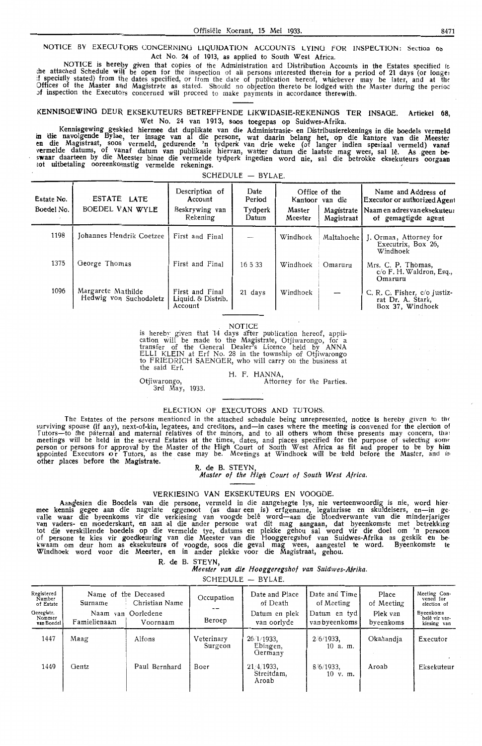NOTICE BY EXECUTORS CONCERNING LIQUIDATION ACCOUNTS LYING FOR INSPECTION: Section to Act No. **24** of 1913, as applied to South West Africa.

NOTICE is hereby given that copies of the Administration and Distribution Accounts in the Estates specified it<br>the attached Schedule will be open for the inspection of all persons interested therein for a period of 21 days Offices of the Master and Magistrate as stated. Should no objection thereto be lodged with the Master during the perioc of inspection the Executors concerned will proceed to make payments in accordance therewith.

#### KENNISGEWING DEUR EKSEKUTEURS BETREFFENDE LIKWIDASIE-REKENINGS TER INSAGE. Artiekel 68, Wet No. 24 van 1913, soos toegepas op Suidwes-Afrika.

Kennisgewing geskied hiermee dat duplikate van die Administrasie- en Distribusierekenings in die boedels vermeld in die navolgende Byla®, ter insage van al die persone, wat daarin belang het, op die kantore van die Meester<br>en die Magistraat, soos vermeld, gedurende 'n tydperk van drie weke (of langer indien spesiaal vermeld) vanaf vermelde datums, of vanaf datum van publikasie hiervan, watter datum die laatste mag wees, sal lê. As geen bes**waa**r daarteen by die Meester binne die vermelde tydperk ingedien word nie, sal die betrokke eksekuteurs oorgaan<br>iot uitbetaling ooreenko<sub>lins</sub>tig vermelde rekenings.

SCHEDULE - BYLAE.

| Estate No.<br>Boedel No. | ESTATE LATE<br>BOEDEL VAN WYLE               | Description of<br>Account<br>Beskrywing van<br>Rekening | Date<br>Period<br>Tydperk<br>Datum | Master<br>Meester | Office of the<br>Kantoor van die<br>Magistrate<br>Magistraat | Name and Address of<br>Executor or authorized Agent<br>l Naam en adres van eksekuteur<br>of gemagtigde agent |
|--------------------------|----------------------------------------------|---------------------------------------------------------|------------------------------------|-------------------|--------------------------------------------------------------|--------------------------------------------------------------------------------------------------------------|
| 1198                     | Johannes Hendrik Coetzee                     | First and Final                                         | $\overline{\phantom{a}}$           | Windhoek          | Maltahoehe l                                                 | J. Orman, Attorney for<br>Executrix, Box 26.<br>Windhoek                                                     |
| 1375                     | George Thomas                                | First and Final                                         | 16.5.33                            | Windhoek          | Omaruru                                                      | Mrs. C. P. Thomas,<br>c/o F. H. Waldron, Esq.,<br>Omaruru                                                    |
| 1096                     | Margarete Mathilde<br>Hedwig von Suchodoletz | First and Final<br>Liquid. & Distrib.<br>Account        | 21 days                            | Windhoek          |                                                              | C. R. C. Fisher, c/o Justiz-<br>rat Dr. A. Stark,<br>Box 37, Windhoek                                        |

#### NOTICE

is hereby given that 14 days after publication hereof, application will be made to the Magistrate, Otjiwarongo, for a<br>transfer of the General Dealer's Licence held by ANNA<br>transfer of the General Dealer's Licence held by A ELLI KLEIN at Erf No. 28 in the township of Otjiwarongo to FRIEDRICH SAENGER, who will carry on the business at the said Erf. H. F. HANNA,

Otjiwarongo, 3rd May, 1933.

Attorney for the Parties.

#### ELECTION Of EXECUTORS AND TUTORS.

The Estates of the persons mentioned in the attached schedule being unrepresented, notice is hereby given to the surviving spouse (if any), next-of-kin, legatees, and creditors, and-in cases where the meeting is convened for the election of Tutors-to the paternal and maternal relatives of the minors, and to all others whom these presents may concern, that meetings will be held in the several Estates at the times, dates, and places specified for the purpose of selecting some<br>person or persons for approval by the Master of the High Court of South West Africa as fit and proper appointed Executors or Tutors, as the case may be. Meetings at Windhoek will be held before the Master, and in other places before the Magistrate.<br>R. de B. STEYN,

*Master of the High Court of South West Africa.* 

#### VERKlESING VAN EKSEKUTEURS EN VOOGDE.

Aangesien die Boedels van die persone, vermeld in die aangehegte lys, nie verteenwoordig is nie, word hiermee kennis gegee aan die nagelate eggenoot (as daar een is) erfgename, legatarisse en skuldeisers, en—in gevalle waa tot die verskillende boedels op die vennelde tye, datums en plekke gehou sal word vir die doel om 'n persoon of persone te kies vir goedkeuring van die Meester van die Hooggeregshof van Suidwes-Afrika as geskik en bekwaam om deur horn as eksekuteurs of voogde, soos die geval mag wees, aangestel te word. Byeenkomste te Windhoek word voor die Meester, en in ander plekke voor die Magistraat, gehou.

> R. de B. STEYN, *Meester van* **die** *Hooggeregshof van Suidwes-A.irika.*

SCHEDULE - BYLAE.

| Registered<br>Number<br>of Estate<br>Geregistr.<br>Nommer<br>van Boedel | Surname<br>Famielienaam | Name of the Deceased<br>Christian Name<br>Naam van Oorledene<br>Voornaam | Occupation<br>Beroep  | Date and Place<br>of Death<br>Datum en plek<br>van oorlyde | Date and Time<br>of Meeting<br>Datum en tyd<br>yan byeenkoms | Place<br>of Meeting<br>Plek van<br>byeenkoms | Meeting Con-<br>vened for<br>election of<br>Byeenkoms<br>belê vir ver-<br>kiesing van |
|-------------------------------------------------------------------------|-------------------------|--------------------------------------------------------------------------|-----------------------|------------------------------------------------------------|--------------------------------------------------------------|----------------------------------------------|---------------------------------------------------------------------------------------|
| 1447                                                                    | Maag                    | Alfons                                                                   | Veterinary<br>Surgeon | 26/1/1933.<br>Ebingen,<br>Germany                          | $2.6/1933$ ,<br>$10$ a.m.                                    | Okahandja                                    | Executor                                                                              |
| 1449                                                                    | Gentz                   | Paul Bernhard                                                            | Boer                  | 21/4/1933,<br>Streitdam,<br>Aroab                          | $8/6/1933$ ,<br>$10 \,$ v. m.                                | Aroab                                        | Eksekuteur                                                                            |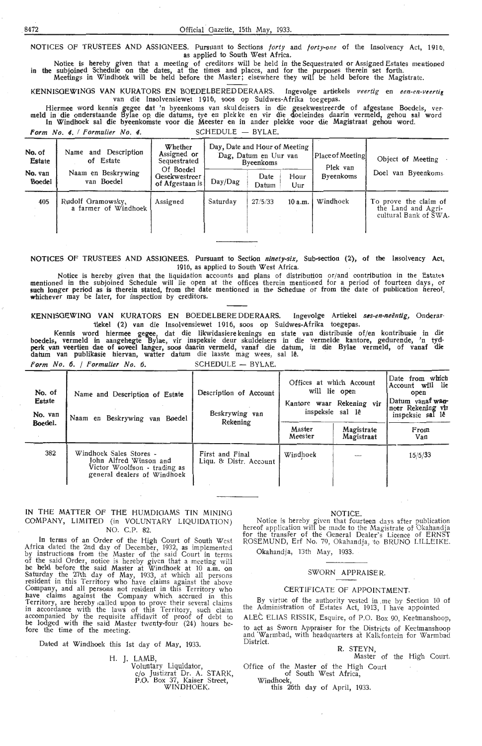NOTICES OF TRUSTEES AND ASSIGNEES. Pursuant to Sections *forty* and *forty-one* of the Insolvency Act, 1916, as applied to South West Africa.

Notice is hereby given that a meeting of creditors will be held in the Sequestrated or Assigned Estates mentioned in the subjoined Schedule on the dates, at the times and places, and for the purposes therein set forth. Meetings in Windhoek will be held before the Master; elsewhere they will be held before the Magistrate.

KENNISOEWINGS VAN KURATORS EN BOEDELBEREDDERAARS. Ingevolge artiekels *veertig* en *een-en-vurtii*  van die lnsolvensiewet 1916, soos op Suidwes-Afrika toegepas.

Hiermee word kennis gegee dat 'n byeenkoms van skul deisers in die gesekwestreerde of afgestane Boedels, ver- meld in die onderstaande Bylae op die datums, tye en plek ke en vir die doeleindes daarin vermeld, gehou sal word In Windhoek sal die byeenkomste voor die Meester en in ander plekke voor die Magistraat gehou word.

Form No. 4. */ Formulier No. 4.* SCHEDULE - BYLAE.

| No. of<br>Estate  | Name and Description<br>of Estate         | Whether<br>Day, Date and Hour of Meeting<br>Assigned or<br>Place of Meeting<br>Dag, Datum en Uur van<br>Sequestrated<br><b>Byeenkoms</b><br>Of Boedel |          | Plek van      |             | Object of Meeting |                                                                      |
|-------------------|-------------------------------------------|-------------------------------------------------------------------------------------------------------------------------------------------------------|----------|---------------|-------------|-------------------|----------------------------------------------------------------------|
| No. van<br>Boedel | Naam en Beskrywing<br>van Boedel          | Gesekwestreer<br>of Afgestaan is                                                                                                                      | Day/Dag  | Date<br>Datum | Hour<br>Uur | <b>Byeenkoms</b>  | van Byeenkoms<br>Doel                                                |
| 405               | Rudolf Gramowsky.<br>a farmer of Windhoek | Assigned                                                                                                                                              | Saturday | 27/5/33       | 10 a.m.     | Windhoek          | To prove the claim of<br>the Land and Agri-<br>cultural Bank of SWA. |

NOTICES OF TRUSTEES AND ASSIGNEES. Pursuant to Section *ninety-six*, Sub-section (2), of the Insolvency Act, 1916, as applied to South West Africa.

Notice is hereby given that the liquidation accounts and plans of distribution or/and contribution in the Estate-& mentioned in the subjoined Schedule will lie open at the offices therein mentioned for a period of fourteen days, or<br>such longer period as is therein stated, from the date mentioned in the Schedure or from the date of publ

KENNISOEWINO VAN KURATORS EN BOEDELBERE DDERAARS. Ingevolge Artiekel *s6s-en-neentig,* Onderartiekel (2) van die Insolvensiewet 1916, soos op Suidwes-Afrika toegepas.

Kennis word hiermee gegee, dat die likwidasiere kenings en state van distribusie of/en kontribusie in die boedels, vermeld in aangehegte Bylae, vir inspeksie deur skuldeisers in die vermelde kantore, gedurende, 'n tyd**perk** . van veertien dae of 1,oveel laitger, soos daarin vernield, vanaf die datum, in die Bylae vermeld, of vanaf die datum van publikasie hiervan, watter datum die laaste mag wees, sal lê.

*Form No.* 6. / *Formulier No.* 6. SCHEDULE - BYLAE.

| No. of<br>Estate<br>No. van<br>Boedel. | Name and Description of Estate<br>Naam en Beskrywing van Boedel                                                  | Description of Account<br>Beskrywing van<br>Rekening | Offices at which Account<br>will lie open<br>Kantore waar Rekening vir<br>inspeksie sal lê | Date from which<br>Account will lie<br>open<br>Datum vanaf wan-<br>neer Rekening vir<br>inspeksie sal lê |             |
|----------------------------------------|------------------------------------------------------------------------------------------------------------------|------------------------------------------------------|--------------------------------------------------------------------------------------------|----------------------------------------------------------------------------------------------------------|-------------|
|                                        |                                                                                                                  |                                                      | Master<br>Meester                                                                          | Magistrate<br>Magistraat                                                                                 | From<br>Van |
| 382                                    | Windhoek Sales Stores -<br>John Alfred Winson and<br>Victor Woolfson - trading as<br>general dealers of Windhoek | First and Final<br>Liqu. & Distr. Account            | Windhoek                                                                                   |                                                                                                          | 15/5/33     |

#### IN THE MATTER OF THE HUMDIGAMS TIN MINING COMPANY, LIMITED (in VOLUNTARY LIQUIDATION) NO. C.P. 82.

In terms of an Order of the High Court of South West Africa dated the 2nd day of December, 1932, as implemented by instructions from the Master of the said Court in terms of the said Order, notice is hereby given that a meeting will be held before the said Master at Windhoek at 10 a.m. on Saturday the 27th day of May, 1933, at which all persons resident in this Territory who have claims against the above Company, and all persons not resident in this Territory who have claims against the Company which accrued in this Territory, are hereby ,called upon to prove their several claims in accordance with the laws of this Territory, such claim accompanied by the requisite affidavit of proof of debt to be lodged with the said Master twenty-four (24) hours before the time of the meeting.

Dated at Windhoek this 1st day of May, 1933.

H. J. LAMB,

Voluntary Liquidator, c/o Justizrat Dr. A. STARK, P.O. Box 37, Kaiser Street, WINDHOEK.

#### NOTICE.

Notice is hereby given that fourteen days after publication hereof application will be made to the Magistrate of Okahandja for the transfer of the General Dealer's Licence of ERNST ROSEMUND, Erf No. 79, Okahandja, to BRUNO LILLEIKE.

Okahandja, 13th May, 1933.

#### SWORN APPRAISER.

#### CERTIFICATE OF APPOINTMENT.

By virtue of the authority vested in me by Section 10 of the Administration of Estates Act, 1913, I have appointed

ALEC ELIAS RISSIK, Esquire, of P.O. Box 90, Keetmanshoop, to act as Sworn Appraiser for the Districts of Keetmanshoop and Warmbad, with headquarters at Kalkfontein for Warmbad District.

#### R. STEYN,

Master of the High Court.

Office of the Master of the High Court of South West Africa;

Windhoek, this 26th day of April, 1933.